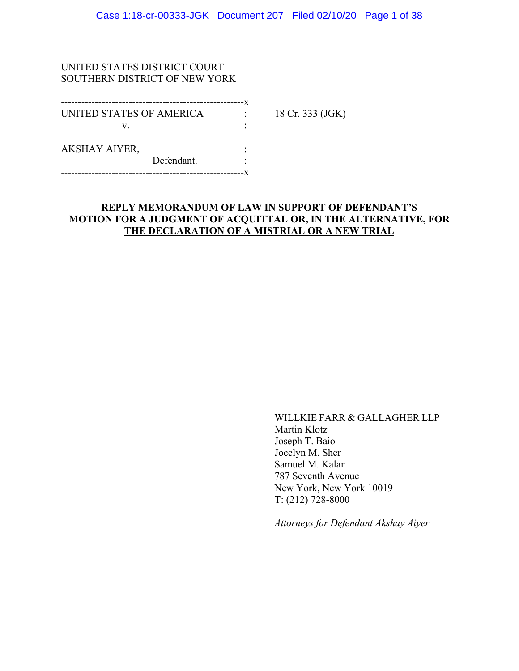### UNITED STATES DISTRICT COURT SOUTHERN DISTRICT OF NEW YORK

| UNITED STATES OF AMERICA |            | 18 Cr. 333 (JGK) |
|--------------------------|------------|------------------|
| V                        |            |                  |
| <b>AKSHAY AIYER,</b>     |            |                  |
|                          | Defendant. |                  |
|                          |            |                  |

## **REPLY MEMORANDUM OF LAW IN SUPPORT OF DEFENDANT'S MOTION FOR A JUDGMENT OF ACQUITTAL OR, IN THE ALTERNATIVE, FOR THE DECLARATION OF A MISTRIAL OR A NEW TRIAL**

WILLKIE FARR & GALLAGHER LLP Martin Klotz Joseph T. Baio Jocelyn M. Sher Samuel M. Kalar 787 Seventh Avenue New York, New York 10019 T: (212) 728-8000

*Attorneys for Defendant Akshay Aiyer*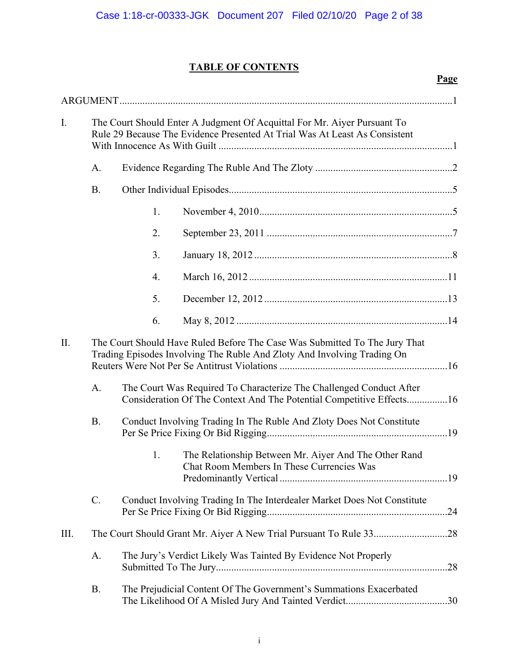**Page** 

# **TABLE OF CONTENTS**

| $I_{\cdot}$                                                                                                                                                  | The Court Should Enter A Judgment Of Acquittal For Mr. Aiyer Pursuant To<br>Rule 29 Because The Evidence Presented At Trial Was At Least As Consistent |    |                                                                                                                                             |  |
|--------------------------------------------------------------------------------------------------------------------------------------------------------------|--------------------------------------------------------------------------------------------------------------------------------------------------------|----|---------------------------------------------------------------------------------------------------------------------------------------------|--|
|                                                                                                                                                              | A.                                                                                                                                                     |    |                                                                                                                                             |  |
|                                                                                                                                                              | <b>B.</b>                                                                                                                                              |    |                                                                                                                                             |  |
|                                                                                                                                                              |                                                                                                                                                        | 1. |                                                                                                                                             |  |
|                                                                                                                                                              |                                                                                                                                                        | 2. |                                                                                                                                             |  |
|                                                                                                                                                              |                                                                                                                                                        | 3. |                                                                                                                                             |  |
|                                                                                                                                                              |                                                                                                                                                        | 4. |                                                                                                                                             |  |
|                                                                                                                                                              |                                                                                                                                                        | 5. |                                                                                                                                             |  |
|                                                                                                                                                              |                                                                                                                                                        | 6. |                                                                                                                                             |  |
| II.<br>The Court Should Have Ruled Before The Case Was Submitted To The Jury That<br>Trading Episodes Involving The Ruble And Zloty And Involving Trading On |                                                                                                                                                        |    |                                                                                                                                             |  |
|                                                                                                                                                              | A.                                                                                                                                                     |    | The Court Was Required To Characterize The Challenged Conduct After<br>Consideration Of The Context And The Potential Competitive Effects16 |  |
|                                                                                                                                                              | <b>B.</b>                                                                                                                                              |    | Conduct Involving Trading In The Ruble And Zloty Does Not Constitute                                                                        |  |
|                                                                                                                                                              |                                                                                                                                                        | 1. | The Relationship Between Mr. Aiyer And The Other Rand<br>Chat Room Members In These Currencies Was                                          |  |
|                                                                                                                                                              | $C$ .                                                                                                                                                  |    | Conduct Involving Trading In The Interdealer Market Does Not Constitute                                                                     |  |
| III.                                                                                                                                                         |                                                                                                                                                        |    |                                                                                                                                             |  |
|                                                                                                                                                              | A.                                                                                                                                                     |    | The Jury's Verdict Likely Was Tainted By Evidence Not Properly                                                                              |  |
|                                                                                                                                                              | <b>B.</b>                                                                                                                                              |    | The Prejudicial Content Of The Government's Summations Exacerbated                                                                          |  |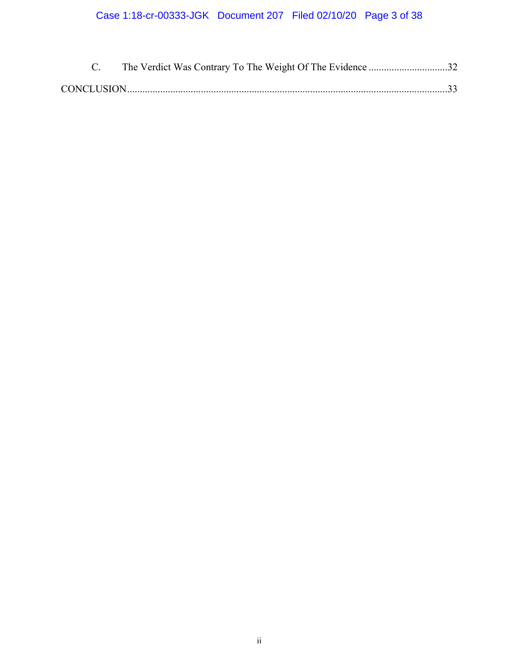# Case 1:18-cr-00333-JGK Document 207 Filed 02/10/20 Page 3 of 38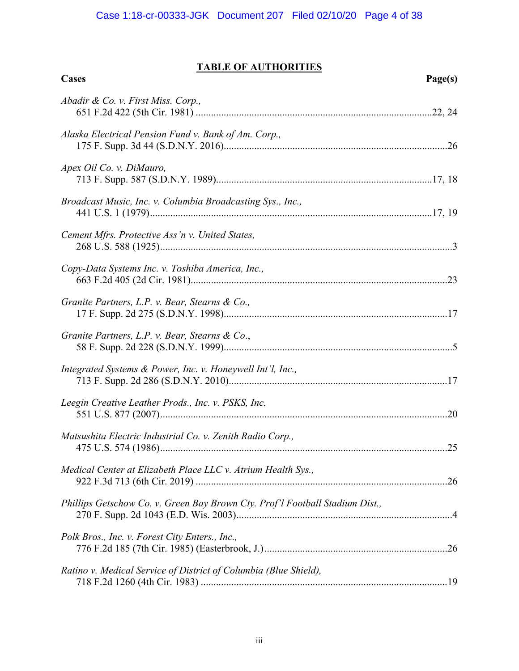# **TABLE OF AUTHORITIES**

| Cases                                                                        | Page(s) |
|------------------------------------------------------------------------------|---------|
| Abadir & Co. v. First Miss. Corp.,                                           |         |
| Alaska Electrical Pension Fund v. Bank of Am. Corp.,                         |         |
| Apex Oil Co. v. DiMauro,                                                     |         |
| Broadcast Music, Inc. v. Columbia Broadcasting Sys., Inc.,                   |         |
| Cement Mfrs. Protective Ass'n v. United States,                              |         |
| Copy-Data Systems Inc. v. Toshiba America, Inc.,                             |         |
| Granite Partners, L.P. v. Bear, Stearns & Co.,                               |         |
| Granite Partners, L.P. v. Bear, Stearns & Co.,                               |         |
| Integrated Systems & Power, Inc. v. Honeywell Int'l, Inc.,                   |         |
| Leegin Creative Leather Prods., Inc. v. PSKS, Inc.                           |         |
| Matsushita Electric Industrial Co. v. Zenith Radio Corp.,                    |         |
| Medical Center at Elizabeth Place LLC v. Atrium Health Sys.,                 |         |
| Phillips Getschow Co. v. Green Bay Brown Cty. Prof'l Football Stadium Dist., |         |
| Polk Bros., Inc. v. Forest City Enters., Inc.,                               |         |
| Ratino v. Medical Service of District of Columbia (Blue Shield),             |         |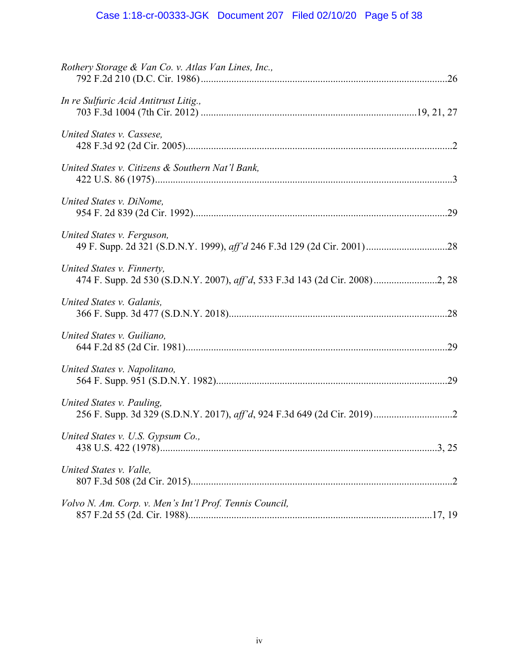# Case 1:18-cr-00333-JGK Document 207 Filed 02/10/20 Page 5 of 38

| Rothery Storage & Van Co. v. Atlas Van Lines, Inc.,     |  |
|---------------------------------------------------------|--|
| In re Sulfuric Acid Antitrust Litig.,                   |  |
| United States v. Cassese,                               |  |
| United States v. Citizens & Southern Nat'l Bank,        |  |
| United States v. DiNome,                                |  |
| United States v. Ferguson,                              |  |
| United States v. Finnerty,                              |  |
| United States v. Galanis,                               |  |
| United States v. Guiliano,                              |  |
| United States v. Napolitano,                            |  |
| United States v. Pauling,                               |  |
| United States v. U.S. Gypsum Co.,                       |  |
| United States v. Valle,                                 |  |
| Volvo N. Am. Corp. v. Men's Int'l Prof. Tennis Council, |  |
|                                                         |  |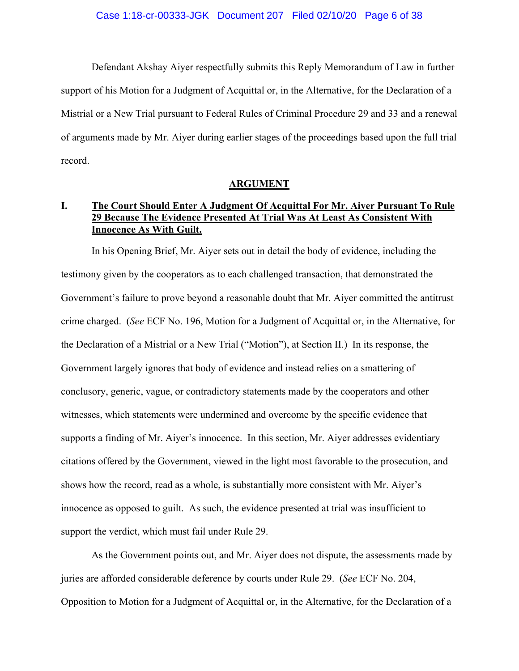Defendant Akshay Aiyer respectfully submits this Reply Memorandum of Law in further support of his Motion for a Judgment of Acquittal or, in the Alternative, for the Declaration of a Mistrial or a New Trial pursuant to Federal Rules of Criminal Procedure 29 and 33 and a renewal of arguments made by Mr. Aiyer during earlier stages of the proceedings based upon the full trial record.

### **ARGUMENT**

# **I. The Court Should Enter A Judgment Of Acquittal For Mr. Aiyer Pursuant To Rule 29 Because The Evidence Presented At Trial Was At Least As Consistent With Innocence As With Guilt.**

In his Opening Brief, Mr. Aiyer sets out in detail the body of evidence, including the testimony given by the cooperators as to each challenged transaction, that demonstrated the Government's failure to prove beyond a reasonable doubt that Mr. Aiyer committed the antitrust crime charged. (*See* ECF No. 196, Motion for a Judgment of Acquittal or, in the Alternative, for the Declaration of a Mistrial or a New Trial ("Motion"), at Section II.) In its response, the Government largely ignores that body of evidence and instead relies on a smattering of conclusory, generic, vague, or contradictory statements made by the cooperators and other witnesses, which statements were undermined and overcome by the specific evidence that supports a finding of Mr. Aiyer's innocence. In this section, Mr. Aiyer addresses evidentiary citations offered by the Government, viewed in the light most favorable to the prosecution, and shows how the record, read as a whole, is substantially more consistent with Mr. Aiyer's innocence as opposed to guilt. As such, the evidence presented at trial was insufficient to support the verdict, which must fail under Rule 29.

As the Government points out, and Mr. Aiyer does not dispute, the assessments made by juries are afforded considerable deference by courts under Rule 29. (*See* ECF No. 204, Opposition to Motion for a Judgment of Acquittal or, in the Alternative, for the Declaration of a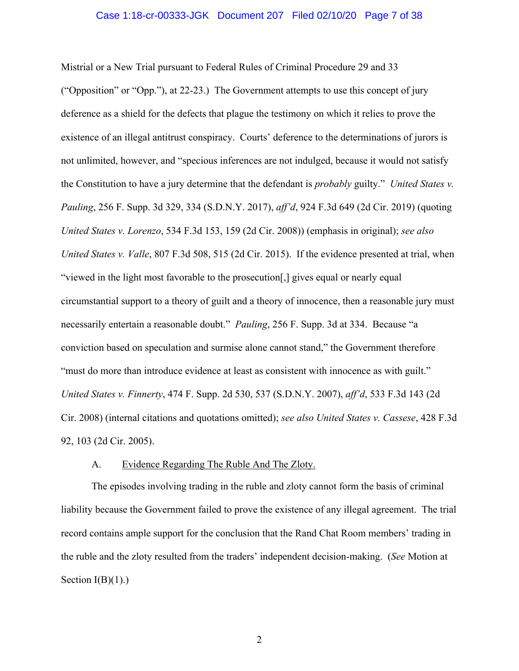### Case 1:18-cr-00333-JGK Document 207 Filed 02/10/20 Page 7 of 38

Mistrial or a New Trial pursuant to Federal Rules of Criminal Procedure 29 and 33 ("Opposition" or "Opp."), at 22-23.) The Government attempts to use this concept of jury deference as a shield for the defects that plague the testimony on which it relies to prove the existence of an illegal antitrust conspiracy. Courts' deference to the determinations of jurors is not unlimited, however, and "specious inferences are not indulged, because it would not satisfy the Constitution to have a jury determine that the defendant is *probably* guilty." *United States v. Pauling*, 256 F. Supp. 3d 329, 334 (S.D.N.Y. 2017), *aff'd*, 924 F.3d 649 (2d Cir. 2019) (quoting *United States v. Lorenzo*, 534 F.3d 153, 159 (2d Cir. 2008)) (emphasis in original); *see also United States v. Valle*, 807 F.3d 508, 515 (2d Cir. 2015). If the evidence presented at trial, when "viewed in the light most favorable to the prosecution[,] gives equal or nearly equal circumstantial support to a theory of guilt and a theory of innocence, then a reasonable jury must necessarily entertain a reasonable doubt." *Pauling*, 256 F. Supp. 3d at 334. Because "a conviction based on speculation and surmise alone cannot stand," the Government therefore "must do more than introduce evidence at least as consistent with innocence as with guilt." *United States v. Finnerty*, 474 F. Supp. 2d 530, 537 (S.D.N.Y. 2007), *aff'd*, 533 F.3d 143 (2d Cir. 2008) (internal citations and quotations omitted); *see also United States v. Cassese*, 428 F.3d 92, 103 (2d Cir. 2005).

### A. Evidence Regarding The Ruble And The Zloty.

The episodes involving trading in the ruble and zloty cannot form the basis of criminal liability because the Government failed to prove the existence of any illegal agreement. The trial record contains ample support for the conclusion that the Rand Chat Room members' trading in the ruble and the zloty resulted from the traders' independent decision-making. (*See* Motion at Section  $I(B)(1)$ .)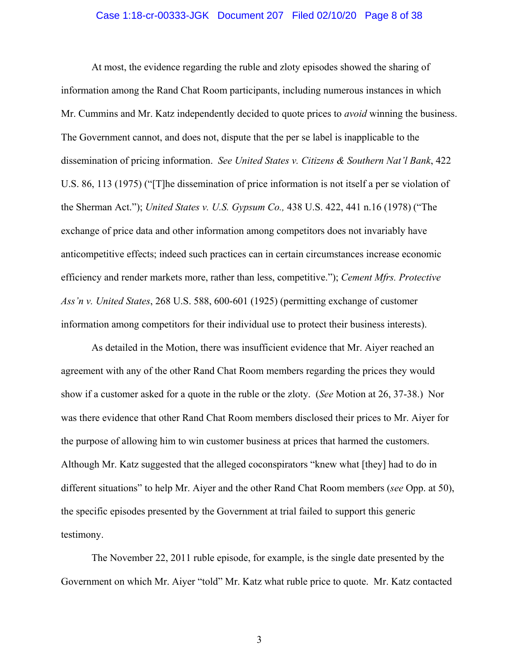### Case 1:18-cr-00333-JGK Document 207 Filed 02/10/20 Page 8 of 38

At most, the evidence regarding the ruble and zloty episodes showed the sharing of information among the Rand Chat Room participants, including numerous instances in which Mr. Cummins and Mr. Katz independently decided to quote prices to *avoid* winning the business. The Government cannot, and does not, dispute that the per se label is inapplicable to the dissemination of pricing information. *See United States v. Citizens & Southern Nat'l Bank*, 422 U.S. 86, 113 (1975) ("[T]he dissemination of price information is not itself a per se violation of the Sherman Act."); *United States v. U.S. Gypsum Co.,* 438 U.S. 422, 441 n.16 (1978) ("The exchange of price data and other information among competitors does not invariably have anticompetitive effects; indeed such practices can in certain circumstances increase economic efficiency and render markets more, rather than less, competitive."); *Cement Mfrs. Protective Ass'n v. United States*, 268 U.S. 588, 600-601 (1925) (permitting exchange of customer information among competitors for their individual use to protect their business interests).

As detailed in the Motion, there was insufficient evidence that Mr. Aiyer reached an agreement with any of the other Rand Chat Room members regarding the prices they would show if a customer asked for a quote in the ruble or the zloty. (*See* Motion at 26, 37-38.) Nor was there evidence that other Rand Chat Room members disclosed their prices to Mr. Aiyer for the purpose of allowing him to win customer business at prices that harmed the customers. Although Mr. Katz suggested that the alleged coconspirators "knew what [they] had to do in different situations" to help Mr. Aiyer and the other Rand Chat Room members (*see* Opp. at 50), the specific episodes presented by the Government at trial failed to support this generic testimony.

The November 22, 2011 ruble episode, for example, is the single date presented by the Government on which Mr. Aiyer "told" Mr. Katz what ruble price to quote. Mr. Katz contacted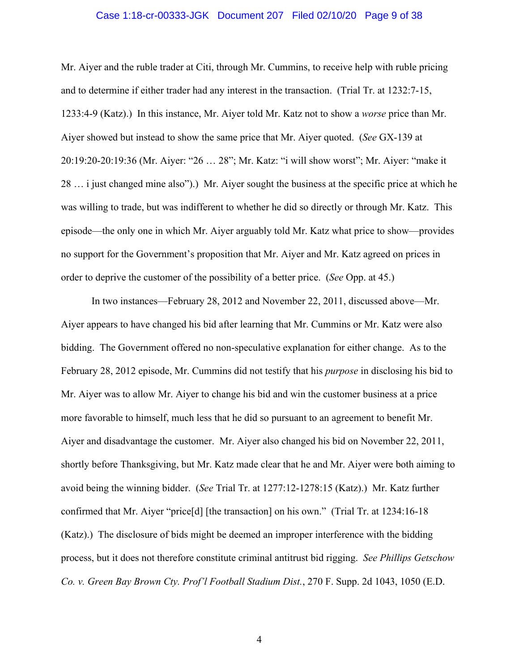### Case 1:18-cr-00333-JGK Document 207 Filed 02/10/20 Page 9 of 38

Mr. Aiyer and the ruble trader at Citi, through Mr. Cummins, to receive help with ruble pricing and to determine if either trader had any interest in the transaction. (Trial Tr. at 1232:7-15, 1233:4-9 (Katz).) In this instance, Mr. Aiyer told Mr. Katz not to show a *worse* price than Mr. Aiyer showed but instead to show the same price that Mr. Aiyer quoted. (*See* GX-139 at 20:19:20-20:19:36 (Mr. Aiyer: "26 … 28"; Mr. Katz: "i will show worst"; Mr. Aiyer: "make it 28 … i just changed mine also").) Mr. Aiyer sought the business at the specific price at which he was willing to trade, but was indifferent to whether he did so directly or through Mr. Katz. This episode—the only one in which Mr. Aiyer arguably told Mr. Katz what price to show—provides no support for the Government's proposition that Mr. Aiyer and Mr. Katz agreed on prices in order to deprive the customer of the possibility of a better price. (*See* Opp. at 45.)

In two instances—February 28, 2012 and November 22, 2011, discussed above—Mr. Aiyer appears to have changed his bid after learning that Mr. Cummins or Mr. Katz were also bidding. The Government offered no non-speculative explanation for either change. As to the February 28, 2012 episode, Mr. Cummins did not testify that his *purpose* in disclosing his bid to Mr. Aiyer was to allow Mr. Aiyer to change his bid and win the customer business at a price more favorable to himself, much less that he did so pursuant to an agreement to benefit Mr. Aiyer and disadvantage the customer. Mr. Aiyer also changed his bid on November 22, 2011, shortly before Thanksgiving, but Mr. Katz made clear that he and Mr. Aiyer were both aiming to avoid being the winning bidder. (*See* Trial Tr. at 1277:12-1278:15 (Katz).) Mr. Katz further confirmed that Mr. Aiyer "price[d] [the transaction] on his own." (Trial Tr. at 1234:16-18 (Katz).) The disclosure of bids might be deemed an improper interference with the bidding process, but it does not therefore constitute criminal antitrust bid rigging. *See Phillips Getschow Co. v. Green Bay Brown Cty. Prof'l Football Stadium Dist.*, 270 F. Supp. 2d 1043, 1050 (E.D.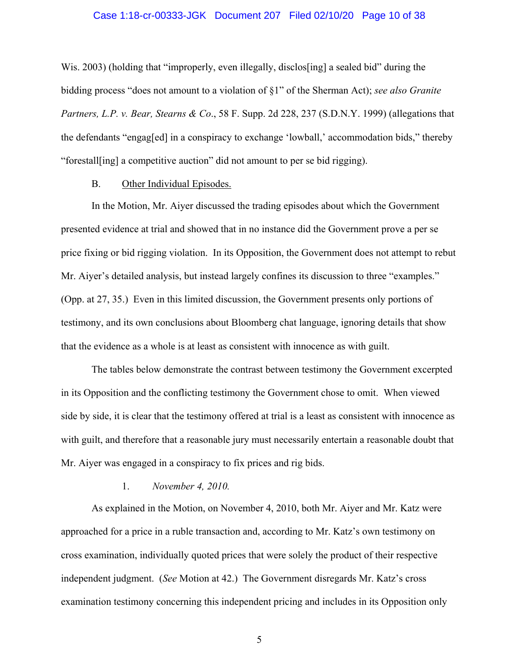### Case 1:18-cr-00333-JGK Document 207 Filed 02/10/20 Page 10 of 38

Wis. 2003) (holding that "improperly, even illegally, disclos [ing] a sealed bid" during the bidding process "does not amount to a violation of §1" of the Sherman Act); *see also Granite Partners, L.P. v. Bear, Stearns & Co*., 58 F. Supp. 2d 228, 237 (S.D.N.Y. 1999) (allegations that the defendants "engag[ed] in a conspiracy to exchange 'lowball,' accommodation bids," thereby "forestall[ing] a competitive auction" did not amount to per se bid rigging).

### B. Other Individual Episodes.

In the Motion, Mr. Aiyer discussed the trading episodes about which the Government presented evidence at trial and showed that in no instance did the Government prove a per se price fixing or bid rigging violation. In its Opposition, the Government does not attempt to rebut Mr. Aiyer's detailed analysis, but instead largely confines its discussion to three "examples." (Opp. at 27, 35.) Even in this limited discussion, the Government presents only portions of testimony, and its own conclusions about Bloomberg chat language, ignoring details that show that the evidence as a whole is at least as consistent with innocence as with guilt.

The tables below demonstrate the contrast between testimony the Government excerpted in its Opposition and the conflicting testimony the Government chose to omit. When viewed side by side, it is clear that the testimony offered at trial is a least as consistent with innocence as with guilt, and therefore that a reasonable jury must necessarily entertain a reasonable doubt that Mr. Aiyer was engaged in a conspiracy to fix prices and rig bids.

## 1. *November 4, 2010.*

As explained in the Motion, on November 4, 2010, both Mr. Aiyer and Mr. Katz were approached for a price in a ruble transaction and, according to Mr. Katz's own testimony on cross examination, individually quoted prices that were solely the product of their respective independent judgment. (*See* Motion at 42.) The Government disregards Mr. Katz's cross examination testimony concerning this independent pricing and includes in its Opposition only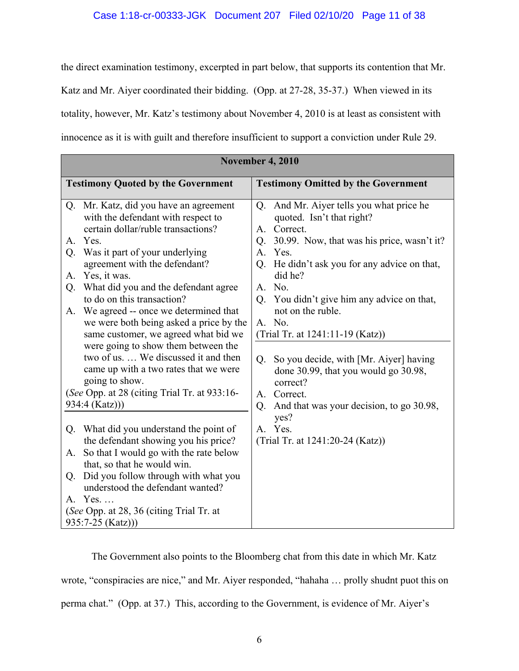the direct examination testimony, excerpted in part below, that supports its contention that Mr. Katz and Mr. Aiyer coordinated their bidding. (Opp. at 27-28, 35-37.) When viewed in its totality, however, Mr. Katz's testimony about November 4, 2010 is at least as consistent with innocence as it is with guilt and therefore insufficient to support a conviction under Rule 29.

| <b>November 4, 2010</b> |                                                                                                                 |                                            |                                                                                                 |  |
|-------------------------|-----------------------------------------------------------------------------------------------------------------|--------------------------------------------|-------------------------------------------------------------------------------------------------|--|
|                         | <b>Testimony Quoted by the Government</b>                                                                       | <b>Testimony Omitted by the Government</b> |                                                                                                 |  |
| Q <sub>1</sub>          | Mr. Katz, did you have an agreement<br>with the defendant with respect to<br>certain dollar/ruble transactions? | Q.                                         | And Mr. Aiyer tells you what price he<br>quoted. Isn't that right?<br>A. Correct.               |  |
| $A_{\cdot}$<br>Q.       | Yes.<br>Was it part of your underlying<br>agreement with the defendant?                                         | Q.<br>$A_{\cdot}$<br>$Q_{\rm{c}}$          | 30.99. Now, that was his price, wasn't it?<br>Yes.<br>He didn't ask you for any advice on that, |  |
| Α.<br>Q.                | Yes, it was.<br>What did you and the defendant agree                                                            | A.                                         | did he?<br>No.                                                                                  |  |
| A.                      | to do on this transaction?<br>We agreed -- once we determined that<br>we were both being asked a price by the   | Q <sub>r</sub><br>A. No.                   | You didn't give him any advice on that,<br>not on the ruble.                                    |  |
|                         | same customer, we agreed what bid we<br>were going to show them between the                                     |                                            | (Trial Tr. at 1241:11-19 (Katz))                                                                |  |
|                         | two of us.  We discussed it and then<br>came up with a two rates that we were<br>going to show.                 | Q.                                         | So you decide, with [Mr. Aiyer] having<br>done 30.99, that you would go 30.98,<br>correct?      |  |
|                         | (See Opp. at 28 (citing Trial Tr. at 933:16-<br>934:4 (Katz)))                                                  | Q.                                         | A. Correct.<br>And that was your decision, to go 30.98,                                         |  |
| Q.                      | What did you understand the point of<br>the defendant showing you his price?                                    | A. Yes.                                    | yes?<br>(Trial Tr. at 1241:20-24 (Katz))                                                        |  |
| A.                      | So that I would go with the rate below<br>that, so that he would win.                                           |                                            |                                                                                                 |  |
| Q.                      | Did you follow through with what you<br>understood the defendant wanted?                                        |                                            |                                                                                                 |  |
|                         | A. Yes<br>(See Opp. at 28, 36 (citing Trial Tr. at<br>$935:7-25$ (Katz)))                                       |                                            |                                                                                                 |  |

The Government also points to the Bloomberg chat from this date in which Mr. Katz wrote, "conspiracies are nice," and Mr. Aiyer responded, "hahaha … prolly shudnt puot this on perma chat." (Opp. at 37.) This, according to the Government, is evidence of Mr. Aiyer's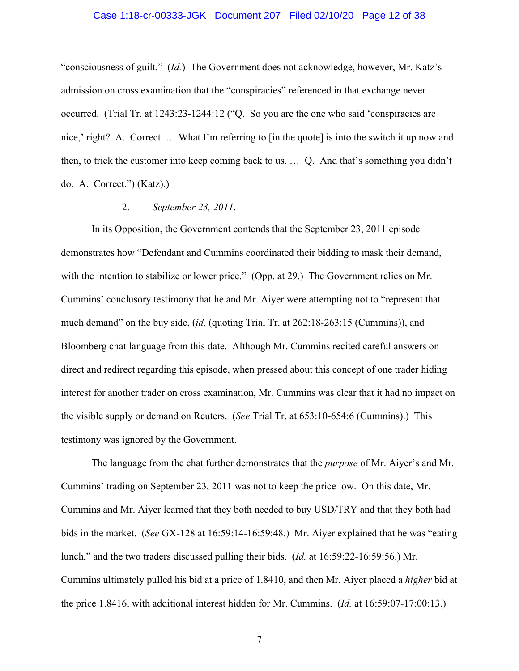### Case 1:18-cr-00333-JGK Document 207 Filed 02/10/20 Page 12 of 38

"consciousness of guilt." (*Id.*) The Government does not acknowledge, however, Mr. Katz's admission on cross examination that the "conspiracies" referenced in that exchange never occurred. (Trial Tr. at 1243:23-1244:12 ("Q. So you are the one who said 'conspiracies are nice,' right? A. Correct.... What I'm referring to [in the quote] is into the switch it up now and then, to trick the customer into keep coming back to us. … Q. And that's something you didn't do. A. Correct.") (Katz).)

## 2. *September 23, 2011*.

In its Opposition, the Government contends that the September 23, 2011 episode demonstrates how "Defendant and Cummins coordinated their bidding to mask their demand, with the intention to stabilize or lower price." (Opp. at 29.) The Government relies on Mr. Cummins' conclusory testimony that he and Mr. Aiyer were attempting not to "represent that much demand" on the buy side, (*id.* (quoting Trial Tr. at 262:18-263:15 (Cummins)), and Bloomberg chat language from this date. Although Mr. Cummins recited careful answers on direct and redirect regarding this episode, when pressed about this concept of one trader hiding interest for another trader on cross examination, Mr. Cummins was clear that it had no impact on the visible supply or demand on Reuters. (*See* Trial Tr. at 653:10-654:6 (Cummins).) This testimony was ignored by the Government.

The language from the chat further demonstrates that the *purpose* of Mr. Aiyer's and Mr. Cummins' trading on September 23, 2011 was not to keep the price low. On this date, Mr. Cummins and Mr. Aiyer learned that they both needed to buy USD/TRY and that they both had bids in the market. (*See* GX-128 at 16:59:14-16:59:48.) Mr. Aiyer explained that he was "eating lunch," and the two traders discussed pulling their bids. (*Id.* at 16:59:22-16:59:56.) Mr. Cummins ultimately pulled his bid at a price of 1.8410, and then Mr. Aiyer placed a *higher* bid at the price 1.8416, with additional interest hidden for Mr. Cummins. (*Id.* at 16:59:07-17:00:13.)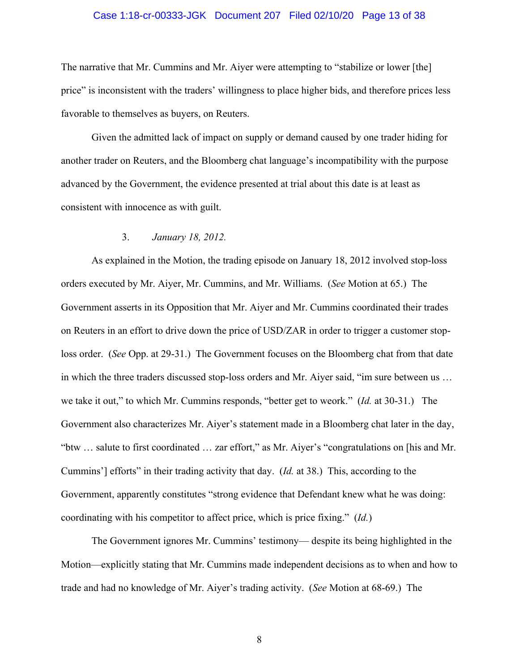### Case 1:18-cr-00333-JGK Document 207 Filed 02/10/20 Page 13 of 38

The narrative that Mr. Cummins and Mr. Aiyer were attempting to "stabilize or lower [the] price" is inconsistent with the traders' willingness to place higher bids, and therefore prices less favorable to themselves as buyers, on Reuters.

Given the admitted lack of impact on supply or demand caused by one trader hiding for another trader on Reuters, and the Bloomberg chat language's incompatibility with the purpose advanced by the Government, the evidence presented at trial about this date is at least as consistent with innocence as with guilt.

### 3. *January 18, 2012.*

As explained in the Motion, the trading episode on January 18, 2012 involved stop-loss orders executed by Mr. Aiyer, Mr. Cummins, and Mr. Williams. (*See* Motion at 65.) The Government asserts in its Opposition that Mr. Aiyer and Mr. Cummins coordinated their trades on Reuters in an effort to drive down the price of USD/ZAR in order to trigger a customer stoploss order. (*See* Opp. at 29-31.) The Government focuses on the Bloomberg chat from that date in which the three traders discussed stop-loss orders and Mr. Aiyer said, "im sure between us … we take it out," to which Mr. Cummins responds, "better get to weork." (*Id.* at 30-31.) The Government also characterizes Mr. Aiyer's statement made in a Bloomberg chat later in the day, "btw … salute to first coordinated … zar effort," as Mr. Aiyer's "congratulations on [his and Mr. Cummins'] efforts" in their trading activity that day. (*Id.* at 38.) This, according to the Government, apparently constitutes "strong evidence that Defendant knew what he was doing: coordinating with his competitor to affect price, which is price fixing." (*Id.*)

The Government ignores Mr. Cummins' testimony— despite its being highlighted in the Motion—explicitly stating that Mr. Cummins made independent decisions as to when and how to trade and had no knowledge of Mr. Aiyer's trading activity. (*See* Motion at 68-69.) The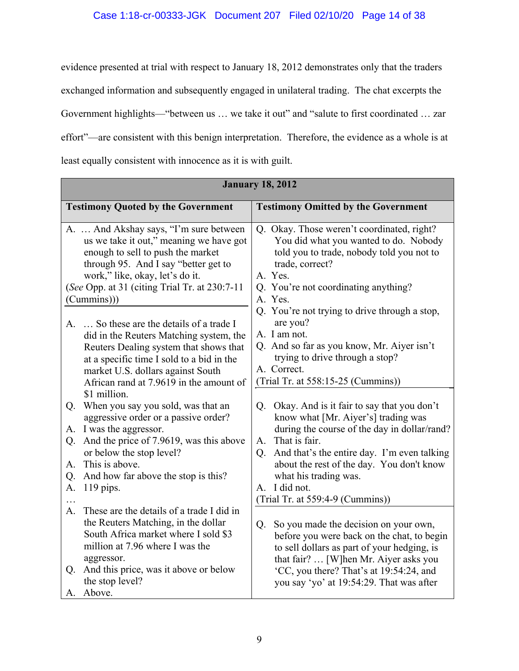evidence presented at trial with respect to January 18, 2012 demonstrates only that the traders exchanged information and subsequently engaged in unilateral trading. The chat excerpts the Government highlights—"between us … we take it out" and "salute to first coordinated … zar effort"—are consistent with this benign interpretation. Therefore, the evidence as a whole is at least equally consistent with innocence as it is with guilt.

| <b>January 18, 2012</b>                                                                                                                                                                                                                                                                                                                               |                                                                                                                                                                                                                                                                                                                                                                  |  |  |  |
|-------------------------------------------------------------------------------------------------------------------------------------------------------------------------------------------------------------------------------------------------------------------------------------------------------------------------------------------------------|------------------------------------------------------------------------------------------------------------------------------------------------------------------------------------------------------------------------------------------------------------------------------------------------------------------------------------------------------------------|--|--|--|
| <b>Testimony Quoted by the Government</b>                                                                                                                                                                                                                                                                                                             | <b>Testimony Omitted by the Government</b>                                                                                                                                                                                                                                                                                                                       |  |  |  |
| A.  And Akshay says, "I'm sure between<br>us we take it out," meaning we have got<br>enough to sell to push the market<br>through 95. And I say "better get to<br>work," like, okay, let's do it.<br>(See Opp. at 31 (citing Trial Tr. at 230:7-11)<br>(Cummins))                                                                                     | Q. Okay. Those weren't coordinated, right?<br>You did what you wanted to do. Nobody<br>told you to trade, nobody told you not to<br>trade, correct?<br>A. Yes.<br>Q. You're not coordinating anything?<br>A. Yes.<br>Q. You're not trying to drive through a stop,                                                                                               |  |  |  |
| So these are the details of a trade I<br>А.<br>did in the Reuters Matching system, the<br>Reuters Dealing system that shows that<br>at a specific time I sold to a bid in the<br>market U.S. dollars against South<br>African rand at 7.9619 in the amount of                                                                                         | are you?<br>A. I am not.<br>Q. And so far as you know, Mr. Aiyer isn't<br>trying to drive through a stop?<br>A. Correct.<br>(Trial Tr. at 558:15-25 (Cummins))                                                                                                                                                                                                   |  |  |  |
| \$1 million.<br>When you say you sold, was that an<br>Q.<br>aggressive order or a passive order?<br>A. I was the aggressor.<br>And the price of 7.9619, was this above<br>Q.<br>or below the stop level?<br>This is above.<br>A.<br>And how far above the stop is this?<br>Q.<br>$119$ pips.<br>A.<br>These are the details of a trade I did in<br>A. | Okay. And is it fair to say that you don't<br>Q <sub>r</sub><br>know what [Mr. Aiyer's] trading was<br>during the course of the day in dollar/rand?<br>A. That is fair.<br>And that's the entire day. I'm even talking<br>$Q_{\rm c}$<br>about the rest of the day. You don't know<br>what his trading was.<br>A. I did not.<br>(Trial Tr. at 559:4-9 (Cummins)) |  |  |  |
| the Reuters Matching, in the dollar<br>South Africa market where I sold \$3<br>million at 7.96 where I was the<br>aggressor.<br>And this price, was it above or below<br>Q.<br>the stop level?<br>A. Above.                                                                                                                                           | So you made the decision on your own,<br>$Q_{\cdot}$<br>before you were back on the chat, to begin<br>to sell dollars as part of your hedging, is<br>that fair?  [W]hen Mr. Aiyer asks you<br><sup>C</sup> C, you there? That's at 19:54:24, and<br>you say 'yo' at 19:54:29. That was after                                                                     |  |  |  |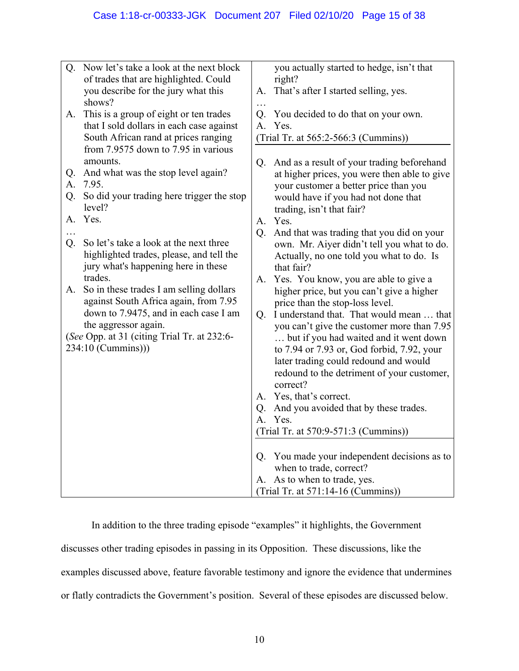| Q.       | Now let's take a look at the next block<br>of trades that are highlighted. Could<br>you describe for the jury what this<br>shows?                                                                                   | A.            | you actually started to hedge, isn't that<br>right?<br>That's after I started selling, yes.                                                                                                                               |
|----------|---------------------------------------------------------------------------------------------------------------------------------------------------------------------------------------------------------------------|---------------|---------------------------------------------------------------------------------------------------------------------------------------------------------------------------------------------------------------------------|
| A.<br>Q. | This is a group of eight or ten trades<br>that I sold dollars in each case against<br>South African rand at prices ranging<br>from 7.9575 down to 7.95 in various<br>amounts.<br>And what was the stop level again? | .<br>Q.<br>Q. | You decided to do that on your own.<br>A. Yes.<br>(Trial Tr. at 565:2-566:3 (Cummins))<br>And as a result of your trading beforehand<br>at higher prices, you were then able to give                                      |
| A.<br>Q. | 7.95.<br>So did your trading here trigger the stop<br>level?                                                                                                                                                        |               | your customer a better price than you<br>would have if you had not done that<br>trading, isn't that fair?                                                                                                                 |
| А.<br>Q. | Yes.<br>So let's take a look at the next three<br>highlighted trades, please, and tell the<br>jury what's happening here in these                                                                                   | A.<br>Q.      | Yes.<br>And that was trading that you did on your<br>own. Mr. Aiyer didn't tell you what to do.<br>Actually, no one told you what to do. Is<br>that fair?                                                                 |
| А.       | trades.<br>So in these trades I am selling dollars<br>against South Africa again, from 7.95<br>down to 7.9475, and in each case I am                                                                                | Q.            | A. Yes. You know, you are able to give a<br>higher price, but you can't give a higher<br>price than the stop-loss level.<br>I understand that. That would mean  that                                                      |
|          | the aggressor again.<br>(See Opp. at 31 (citing Trial Tr. at 232:6-<br>234:10 (Cummins)))                                                                                                                           |               | you can't give the customer more than 7.95<br>but if you had waited and it went down<br>to 7.94 or 7.93 or, God forbid, 7.92, your<br>later trading could redound and would<br>redound to the detriment of your customer, |
|          |                                                                                                                                                                                                                     | A.            | correct?<br>Yes, that's correct.                                                                                                                                                                                          |
|          |                                                                                                                                                                                                                     | Q.            | And you avoided that by these trades.                                                                                                                                                                                     |
|          |                                                                                                                                                                                                                     |               | A. Yes.                                                                                                                                                                                                                   |
|          |                                                                                                                                                                                                                     |               | (Trial Tr. at 570:9-571:3 (Cummins))                                                                                                                                                                                      |
|          |                                                                                                                                                                                                                     | Q.            | You made your independent decisions as to<br>when to trade, correct?                                                                                                                                                      |
|          |                                                                                                                                                                                                                     |               | A. As to when to trade, yes.<br>(Trial Tr. at 571:14-16 (Cummins))                                                                                                                                                        |
|          |                                                                                                                                                                                                                     |               |                                                                                                                                                                                                                           |

In addition to the three trading episode "examples" it highlights, the Government discusses other trading episodes in passing in its Opposition. These discussions, like the

examples discussed above, feature favorable testimony and ignore the evidence that undermines

or flatly contradicts the Government's position. Several of these episodes are discussed below.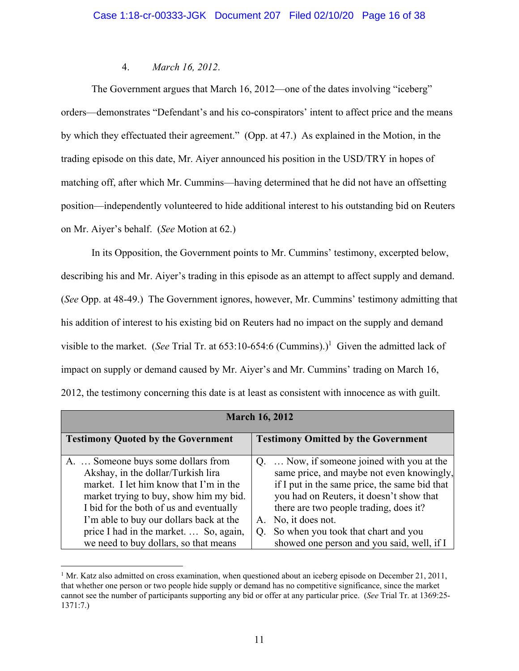### 4. *March 16, 2012*.

The Government argues that March 16, 2012—one of the dates involving "iceberg" orders—demonstrates "Defendant's and his co-conspirators' intent to affect price and the means by which they effectuated their agreement." (Opp. at 47.) As explained in the Motion, in the trading episode on this date, Mr. Aiyer announced his position in the USD/TRY in hopes of matching off, after which Mr. Cummins—having determined that he did not have an offsetting position—independently volunteered to hide additional interest to his outstanding bid on Reuters on Mr. Aiyer's behalf. (*See* Motion at 62.)

In its Opposition, the Government points to Mr. Cummins' testimony, excerpted below, describing his and Mr. Aiyer's trading in this episode as an attempt to affect supply and demand. (*See* Opp. at 48-49.) The Government ignores, however, Mr. Cummins' testimony admitting that his addition of interest to his existing bid on Reuters had no impact on the supply and demand visible to the market. (*See* Trial Tr. at  $653:10-654:6$  (Cummins).)<sup>1</sup> Given the admitted lack of impact on supply or demand caused by Mr. Aiyer's and Mr. Cummins' trading on March 16, 2012, the testimony concerning this date is at least as consistent with innocence as with guilt.

| <b>March 16, 2012</b>                                                                                                                                                                                   |                                                                                                                                                                                                                                |  |  |
|---------------------------------------------------------------------------------------------------------------------------------------------------------------------------------------------------------|--------------------------------------------------------------------------------------------------------------------------------------------------------------------------------------------------------------------------------|--|--|
| <b>Testimony Quoted by the Government</b>                                                                                                                                                               | <b>Testimony Omitted by the Government</b>                                                                                                                                                                                     |  |  |
| A.  Someone buys some dollars from<br>Akshay, in the dollar/Turkish lira<br>market. I let him know that I'm in the<br>market trying to buy, show him my bid.<br>I bid for the both of us and eventually | Q.  Now, if someone joined with you at the<br>same price, and maybe not even knowingly,<br>if I put in the same price, the same bid that<br>you had on Reuters, it doesn't show that<br>there are two people trading, does it? |  |  |
| I'm able to buy our dollars back at the<br>price I had in the market.  So, again,                                                                                                                       | No, it does not.<br>A.<br>So when you took that chart and you<br>$O_{\rm g}$                                                                                                                                                   |  |  |
| we need to buy dollars, so that means                                                                                                                                                                   | showed one person and you said, well, if I                                                                                                                                                                                     |  |  |

<sup>&</sup>lt;sup>1</sup> Mr. Katz also admitted on cross examination, when questioned about an iceberg episode on December 21, 2011, that whether one person or two people hide supply or demand has no competitive significance, since the market cannot see the number of participants supporting any bid or offer at any particular price. (*See* Trial Tr. at 1369:25- 1371:7.)

 $\overline{a}$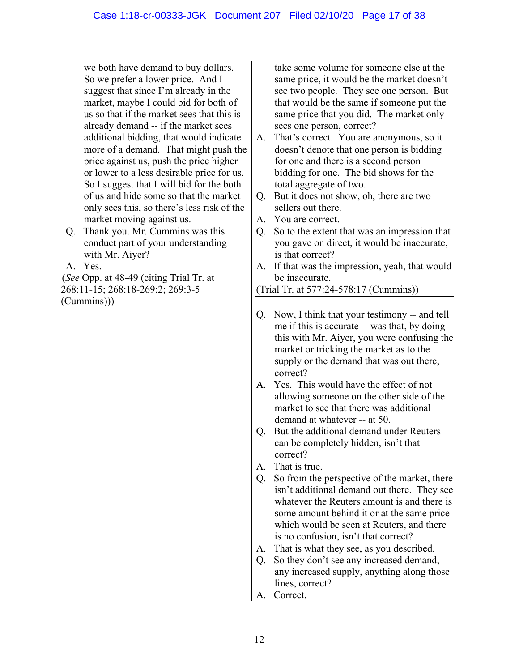we both have demand to buy dollars. So we prefer a lower price. And I suggest that since I'm already in the market, maybe I could bid for both of us so that if the market sees that this is already demand -- if the market sees additional bidding, that would indicate more of a demand. That might push the price against us, push the price higher or lower to a less desirable price for us. So I suggest that I will bid for the both of us and hide some so that the market only sees this, so there's less risk of the market moving against us.

Q. Thank you. Mr. Cummins was this conduct part of your understanding with Mr. Aiyer?

A. Yes.

(*See* Opp. at 48-49 (citing Trial Tr. at 268:11-15; 268:18-269:2; 269:3-5 (Cummins)))

take some volume for someone else at the same price, it would be the market doesn't see two people. They see one person. But that would be the same if someone put the same price that you did. The market only sees one person, correct?

- A. That's correct. You are anonymous, so it doesn't denote that one person is bidding for one and there is a second person bidding for one. The bid shows for the total aggregate of two.
- Q. But it does not show, oh, there are two sellers out there.
- A. You are correct.
- Q. So to the extent that was an impression that you gave on direct, it would be inaccurate, is that correct?
- A. If that was the impression, yeah, that would be inaccurate.

(Trial Tr. at 577:24-578:17 (Cummins))

- Q. Now, I think that your testimony -- and tell me if this is accurate -- was that, by doing this with Mr. Aiyer, you were confusing the market or tricking the market as to the supply or the demand that was out there, correct?
- A. Yes. This would have the effect of not allowing someone on the other side of the market to see that there was additional demand at whatever -- at 50.
- Q. But the additional demand under Reuters can be completely hidden, isn't that correct?
- A. That is true.
- Q. So from the perspective of the market, there isn't additional demand out there. They see whatever the Reuters amount is and there is some amount behind it or at the same price which would be seen at Reuters, and there is no confusion, isn't that correct?
- A. That is what they see, as you described.
- Q. So they don't see any increased demand, any increased supply, anything along those lines, correct? A. Correct.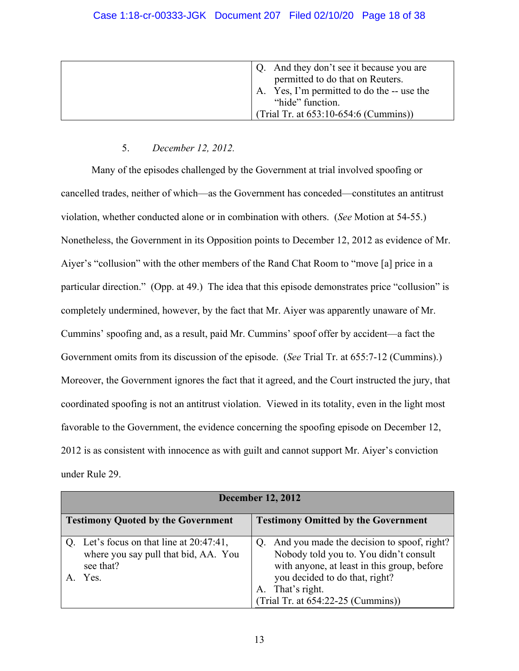| Q. And they don't see it because you are |
|------------------------------------------|
| permitted to do that on Reuters.         |
| Yes, I'm permitted to do the -- use the  |
| "hide" function.                         |
| (Trial Tr. at 653:10-654:6 (Cummins))    |

# 5. *December 12, 2012.*

Many of the episodes challenged by the Government at trial involved spoofing or cancelled trades, neither of which—as the Government has conceded—constitutes an antitrust violation, whether conducted alone or in combination with others. (*See* Motion at 54-55.) Nonetheless, the Government in its Opposition points to December 12, 2012 as evidence of Mr. Aiyer's "collusion" with the other members of the Rand Chat Room to "move [a] price in a particular direction." (Opp. at 49.) The idea that this episode demonstrates price "collusion" is completely undermined, however, by the fact that Mr. Aiyer was apparently unaware of Mr. Cummins' spoofing and, as a result, paid Mr. Cummins' spoof offer by accident—a fact the Government omits from its discussion of the episode. (*See* Trial Tr. at 655:7-12 (Cummins).) Moreover, the Government ignores the fact that it agreed, and the Court instructed the jury, that coordinated spoofing is not an antitrust violation. Viewed in its totality, even in the light most favorable to the Government, the evidence concerning the spoofing episode on December 12, 2012 is as consistent with innocence as with guilt and cannot support Mr. Aiyer's conviction under Rule 29.

| <b>December 12, 2012</b>                                                                                 |                                                                                                                                                                                                                                    |  |  |
|----------------------------------------------------------------------------------------------------------|------------------------------------------------------------------------------------------------------------------------------------------------------------------------------------------------------------------------------------|--|--|
| <b>Testimony Quoted by the Government</b>                                                                | <b>Testimony Omitted by the Government</b>                                                                                                                                                                                         |  |  |
| Q. Let's focus on that line at $20:47:41$ ,<br>where you say pull that bid, AA. You<br>see that?<br>Yes. | Q. And you made the decision to spoof, right?<br>Nobody told you to. You didn't consult<br>with anyone, at least in this group, before<br>you decided to do that, right?<br>A. That's right.<br>(Trial Tr. at 654:22-25 (Cummins)) |  |  |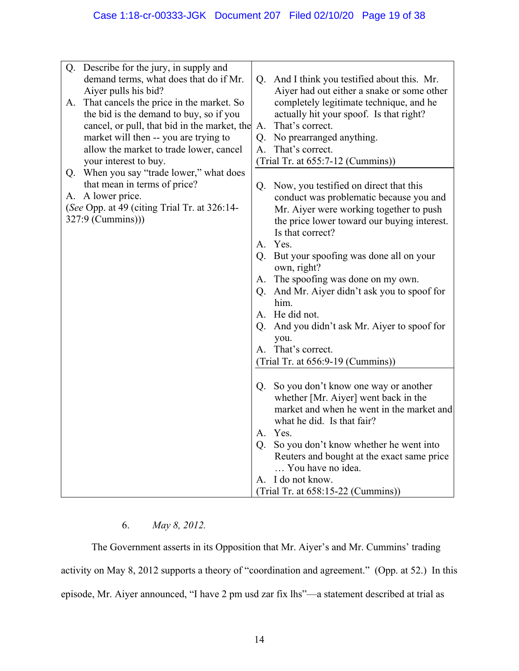| Q. | Describe for the jury, in supply and<br>demand terms, what does that do if Mr.<br>Aiyer pulls his bid? | Q. | And I think you testified about this. Mr.<br>Aiyer had out either a snake or some other |
|----|--------------------------------------------------------------------------------------------------------|----|-----------------------------------------------------------------------------------------|
| A. | That cancels the price in the market. So                                                               |    | completely legitimate technique, and he                                                 |
|    | the bid is the demand to buy, so if you                                                                |    | actually hit your spoof. Is that right?                                                 |
|    | cancel, or pull, that bid in the market, the                                                           | A. | That's correct.                                                                         |
|    | market will then -- you are trying to                                                                  | Q. | No prearranged anything.                                                                |
|    | allow the market to trade lower, cancel                                                                | Α. | That's correct.                                                                         |
|    | your interest to buy.                                                                                  |    | (Trial Tr. at 655:7-12 (Cummins))                                                       |
|    | Q. When you say "trade lower," what does                                                               |    |                                                                                         |
|    | that mean in terms of price?                                                                           |    | Q. Now, you testified on direct that this                                               |
|    | A. A lower price.                                                                                      |    | conduct was problematic because you and                                                 |
|    | (See Opp. at 49 (citing Trial Tr. at 326:14-<br>327:9 (Cummins))                                       |    | Mr. Aiyer were working together to push                                                 |
|    |                                                                                                        |    | the price lower toward our buying interest.<br>Is that correct?                         |
|    |                                                                                                        |    | A. Yes.                                                                                 |
|    |                                                                                                        |    | Q. But your spoofing was done all on your                                               |
|    |                                                                                                        |    | own, right?                                                                             |
|    |                                                                                                        |    | A. The spoofing was done on my own.                                                     |
|    |                                                                                                        |    | Q. And Mr. Aiyer didn't ask you to spoof for                                            |
|    |                                                                                                        |    | him.                                                                                    |
|    |                                                                                                        |    | A. He did not.                                                                          |
|    |                                                                                                        |    | Q. And you didn't ask Mr. Aiyer to spoof for                                            |
|    |                                                                                                        |    | you.                                                                                    |
|    |                                                                                                        |    | A. That's correct.                                                                      |
|    |                                                                                                        |    | (Trial Tr. at 656:9-19 (Cummins))                                                       |
|    |                                                                                                        |    |                                                                                         |
|    |                                                                                                        |    | Q. So you don't know one way or another<br>whether [Mr. Aiyer] went back in the         |
|    |                                                                                                        |    | market and when he went in the market and                                               |
|    |                                                                                                        |    | what he did. Is that fair?                                                              |
|    |                                                                                                        |    | A. Yes.                                                                                 |
|    |                                                                                                        |    | Q. So you don't know whether he went into                                               |
|    |                                                                                                        |    | Reuters and bought at the exact same price                                              |
|    |                                                                                                        |    | You have no idea.                                                                       |
|    |                                                                                                        |    | A. I do not know.                                                                       |
|    |                                                                                                        |    | (Trial Tr. at 658:15-22 (Cummins))                                                      |

# 6. *May 8, 2012.*

The Government asserts in its Opposition that Mr. Aiyer's and Mr. Cummins' trading activity on May 8, 2012 supports a theory of "coordination and agreement." (Opp. at 52.) In this episode, Mr. Aiyer announced, "I have 2 pm usd zar fix lhs"—a statement described at trial as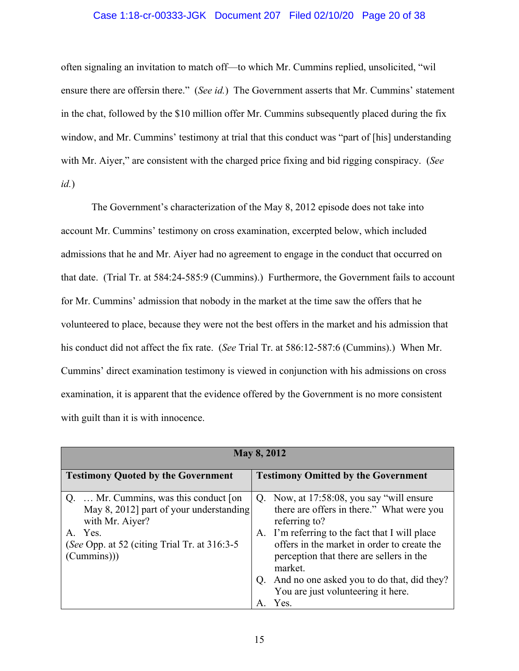### Case 1:18-cr-00333-JGK Document 207 Filed 02/10/20 Page 20 of 38

often signaling an invitation to match off—to which Mr. Cummins replied, unsolicited, "wil ensure there are offersin there." (*See id.*) The Government asserts that Mr. Cummins' statement in the chat, followed by the \$10 million offer Mr. Cummins subsequently placed during the fix window, and Mr. Cummins' testimony at trial that this conduct was "part of [his] understanding with Mr. Aiyer," are consistent with the charged price fixing and bid rigging conspiracy. (*See id.*)

The Government's characterization of the May 8, 2012 episode does not take into account Mr. Cummins' testimony on cross examination, excerpted below, which included admissions that he and Mr. Aiyer had no agreement to engage in the conduct that occurred on that date. (Trial Tr. at 584:24-585:9 (Cummins).) Furthermore, the Government fails to account for Mr. Cummins' admission that nobody in the market at the time saw the offers that he volunteered to place, because they were not the best offers in the market and his admission that his conduct did not affect the fix rate. (*See* Trial Tr. at 586:12-587:6 (Cummins).) When Mr. Cummins' direct examination testimony is viewed in conjunction with his admissions on cross examination, it is apparent that the evidence offered by the Government is no more consistent with guilt than it is with innocence.

| <b>May 8, 2012</b>                                                                                                                                                                |                                                                                                                                                                                                                                                                  |
|-----------------------------------------------------------------------------------------------------------------------------------------------------------------------------------|------------------------------------------------------------------------------------------------------------------------------------------------------------------------------------------------------------------------------------------------------------------|
| <b>Testimony Quoted by the Government</b>                                                                                                                                         | <b>Testimony Omitted by the Government</b>                                                                                                                                                                                                                       |
| Mr. Cummins, was this conduct [on].<br>Q.<br>May 8, 2012] part of your understanding<br>with Mr. Aiyer?<br>A. Yes.<br>(See Opp. at 52 (citing Trial Tr. at 316:3-5)<br>(Cummins)) | Q. Now, at 17:58:08, you say "will ensure"<br>there are offers in there." What were you<br>referring to?<br>A. I'm referring to the fact that I will place<br>offers in the market in order to create the<br>perception that there are sellers in the<br>market. |
|                                                                                                                                                                                   | And no one asked you to do that, did they?<br>$Q_{\cdot}$<br>You are just volunteering it here.                                                                                                                                                                  |
|                                                                                                                                                                                   | Yes.                                                                                                                                                                                                                                                             |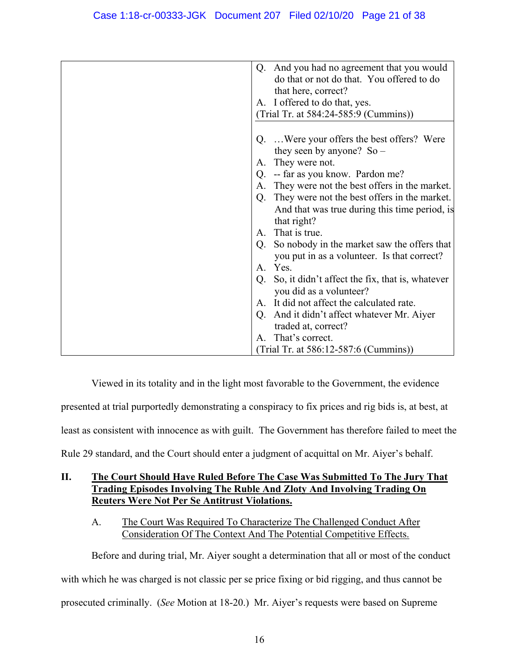|              | And you had no agreement that you would<br>Q.                                              |
|--------------|--------------------------------------------------------------------------------------------|
|              | do that or not do that. You offered to do                                                  |
|              | that here, correct?                                                                        |
|              | A. I offered to do that, yes.                                                              |
|              | (Trial Tr. at 584:24-585:9 (Cummins))                                                      |
|              |                                                                                            |
| A.           | Q. Were your offers the best offers? Were<br>they seen by anyone? $So$ –<br>They were not. |
| Q.           | -- far as you know. Pardon me?                                                             |
| A.           | They were not the best offers in the market.                                               |
| Q.           | They were not the best offers in the market.                                               |
|              | And that was true during this time period, is<br>that right?                               |
| $\mathsf{A}$ | That is true.                                                                              |
| Q.           | So nobody in the market saw the offers that<br>you put in as a volunteer. Is that correct? |
|              | A. Yes.                                                                                    |
| Q.           | So, it didn't affect the fix, that is, whatever<br>you did as a volunteer?                 |
|              | A. It did not affect the calculated rate.                                                  |
| Q.           | And it didn't affect whatever Mr. Aiyer                                                    |
|              | traded at, correct?                                                                        |
|              | A. That's correct.                                                                         |
|              | (Trial Tr. at 586:12-587:6 (Cummins))                                                      |
|              |                                                                                            |

Viewed in its totality and in the light most favorable to the Government, the evidence presented at trial purportedly demonstrating a conspiracy to fix prices and rig bids is, at best, at least as consistent with innocence as with guilt. The Government has therefore failed to meet the Rule 29 standard, and the Court should enter a judgment of acquittal on Mr. Aiyer's behalf.

# **II. The Court Should Have Ruled Before The Case Was Submitted To The Jury That Trading Episodes Involving The Ruble And Zloty And Involving Trading On Reuters Were Not Per Se Antitrust Violations.**

# A. The Court Was Required To Characterize The Challenged Conduct After Consideration Of The Context And The Potential Competitive Effects.

Before and during trial, Mr. Aiyer sought a determination that all or most of the conduct with which he was charged is not classic per se price fixing or bid rigging, and thus cannot be prosecuted criminally. (*See* Motion at 18-20.) Mr. Aiyer's requests were based on Supreme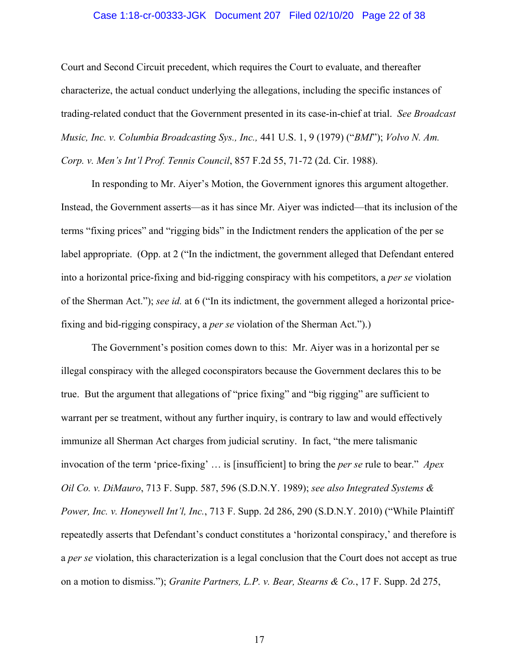### Case 1:18-cr-00333-JGK Document 207 Filed 02/10/20 Page 22 of 38

Court and Second Circuit precedent, which requires the Court to evaluate, and thereafter characterize, the actual conduct underlying the allegations, including the specific instances of trading-related conduct that the Government presented in its case-in-chief at trial. *See Broadcast Music, Inc. v. Columbia Broadcasting Sys., Inc.,* 441 U.S. 1, 9 (1979) ("*BMI*"); *Volvo N. Am. Corp. v. Men's Int'l Prof. Tennis Council*, 857 F.2d 55, 71-72 (2d. Cir. 1988).

In responding to Mr. Aiyer's Motion, the Government ignores this argument altogether. Instead, the Government asserts—as it has since Mr. Aiyer was indicted—that its inclusion of the terms "fixing prices" and "rigging bids" in the Indictment renders the application of the per se label appropriate. (Opp. at 2 ("In the indictment, the government alleged that Defendant entered into a horizontal price-fixing and bid-rigging conspiracy with his competitors, a *per se* violation of the Sherman Act."); *see id.* at 6 ("In its indictment, the government alleged a horizontal pricefixing and bid-rigging conspiracy, a *per se* violation of the Sherman Act.").)

The Government's position comes down to this: Mr. Aiyer was in a horizontal per se illegal conspiracy with the alleged coconspirators because the Government declares this to be true. But the argument that allegations of "price fixing" and "big rigging" are sufficient to warrant per se treatment, without any further inquiry, is contrary to law and would effectively immunize all Sherman Act charges from judicial scrutiny. In fact, "the mere talismanic invocation of the term 'price-fixing' … is [insufficient] to bring the *per se* rule to bear." *Apex Oil Co. v. DiMauro*, 713 F. Supp. 587, 596 (S.D.N.Y. 1989); *see also Integrated Systems & Power, Inc. v. Honeywell Int'l, Inc.*, 713 F. Supp. 2d 286, 290 (S.D.N.Y. 2010) ("While Plaintiff repeatedly asserts that Defendant's conduct constitutes a 'horizontal conspiracy,' and therefore is a *per se* violation, this characterization is a legal conclusion that the Court does not accept as true on a motion to dismiss."); *Granite Partners, L.P. v. Bear, Stearns & Co.*, 17 F. Supp. 2d 275,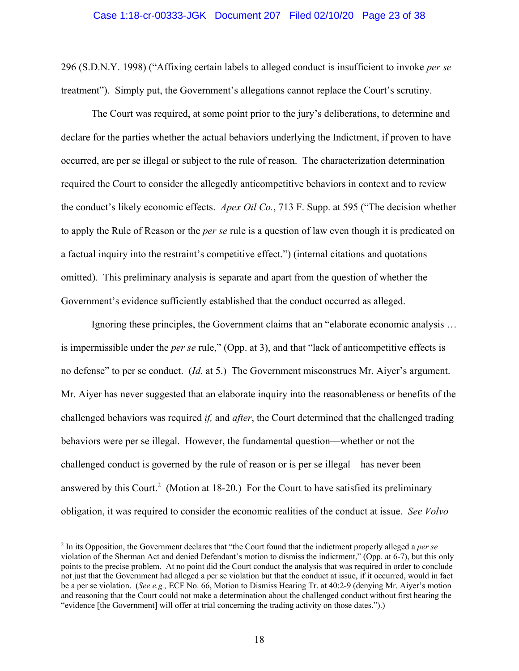### Case 1:18-cr-00333-JGK Document 207 Filed 02/10/20 Page 23 of 38

296 (S.D.N.Y. 1998) ("Affixing certain labels to alleged conduct is insufficient to invoke *per se* treatment"). Simply put, the Government's allegations cannot replace the Court's scrutiny.

The Court was required, at some point prior to the jury's deliberations, to determine and declare for the parties whether the actual behaviors underlying the Indictment, if proven to have occurred, are per se illegal or subject to the rule of reason. The characterization determination required the Court to consider the allegedly anticompetitive behaviors in context and to review the conduct's likely economic effects. *Apex Oil Co.*, 713 F. Supp. at 595 ("The decision whether to apply the Rule of Reason or the *per se* rule is a question of law even though it is predicated on a factual inquiry into the restraint's competitive effect.") (internal citations and quotations omitted). This preliminary analysis is separate and apart from the question of whether the Government's evidence sufficiently established that the conduct occurred as alleged.

Ignoring these principles, the Government claims that an "elaborate economic analysis … is impermissible under the *per se* rule," (Opp. at 3), and that "lack of anticompetitive effects is no defense" to per se conduct. (*Id.* at 5.) The Government misconstrues Mr. Aiyer's argument. Mr. Aiyer has never suggested that an elaborate inquiry into the reasonableness or benefits of the challenged behaviors was required *if,* and *after*, the Court determined that the challenged trading behaviors were per se illegal. However, the fundamental question—whether or not the challenged conduct is governed by the rule of reason or is per se illegal—has never been answered by this Court.<sup>2</sup> (Motion at 18-20.) For the Court to have satisfied its preliminary obligation, it was required to consider the economic realities of the conduct at issue. *See Volvo* 

<u>.</u>

<sup>2</sup> In its Opposition, the Government declares that "the Court found that the indictment properly alleged a *per se*  violation of the Sherman Act and denied Defendant's motion to dismiss the indictment," (Opp. at 6-7), but this only points to the precise problem. At no point did the Court conduct the analysis that was required in order to conclude not just that the Government had alleged a per se violation but that the conduct at issue, if it occurred, would in fact be a per se violation. (*See e.g.,* ECF No. 66, Motion to Dismiss Hearing Tr. at 40:2-9 (denying Mr. Aiyer's motion and reasoning that the Court could not make a determination about the challenged conduct without first hearing the "evidence [the Government] will offer at trial concerning the trading activity on those dates.").)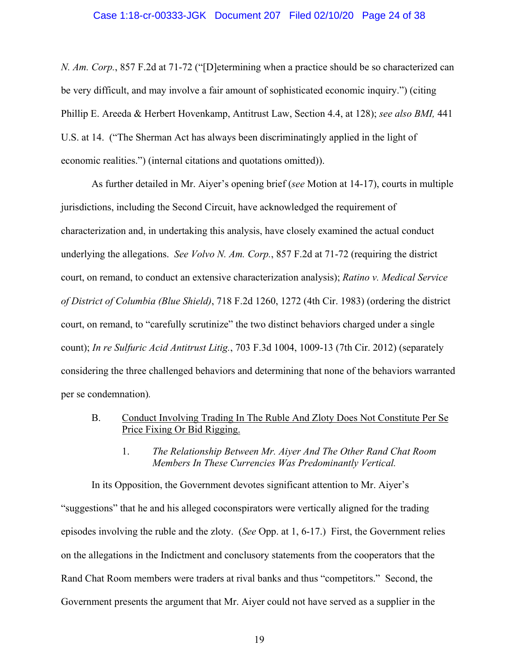*N. Am. Corp.*, 857 F.2d at 71-72 ("[D]etermining when a practice should be so characterized can be very difficult, and may involve a fair amount of sophisticated economic inquiry.") (citing Phillip E. Areeda & Herbert Hovenkamp, Antitrust Law, Section 4.4, at 128); *see also BMI,* 441 U.S. at 14. ("The Sherman Act has always been discriminatingly applied in the light of economic realities.") (internal citations and quotations omitted)).

As further detailed in Mr. Aiyer's opening brief (*see* Motion at 14-17), courts in multiple jurisdictions, including the Second Circuit, have acknowledged the requirement of characterization and, in undertaking this analysis, have closely examined the actual conduct underlying the allegations. *See Volvo N. Am. Corp.*, 857 F.2d at 71-72 (requiring the district court, on remand, to conduct an extensive characterization analysis); *Ratino v. Medical Service of District of Columbia (Blue Shield)*, 718 F.2d 1260, 1272 (4th Cir. 1983) (ordering the district court, on remand, to "carefully scrutinize" the two distinct behaviors charged under a single count); *In re Sulfuric Acid Antitrust Litig.*, 703 F.3d 1004, 1009-13 (7th Cir. 2012) (separately considering the three challenged behaviors and determining that none of the behaviors warranted per se condemnation)*.* 

- B. Conduct Involving Trading In The Ruble And Zloty Does Not Constitute Per Se Price Fixing Or Bid Rigging.
	- 1. *The Relationship Between Mr. Aiyer And The Other Rand Chat Room Members In These Currencies Was Predominantly Vertical.*

In its Opposition, the Government devotes significant attention to Mr. Aiyer's "suggestions" that he and his alleged coconspirators were vertically aligned for the trading episodes involving the ruble and the zloty. (*See* Opp. at 1, 6-17.) First, the Government relies on the allegations in the Indictment and conclusory statements from the cooperators that the Rand Chat Room members were traders at rival banks and thus "competitors." Second, the Government presents the argument that Mr. Aiyer could not have served as a supplier in the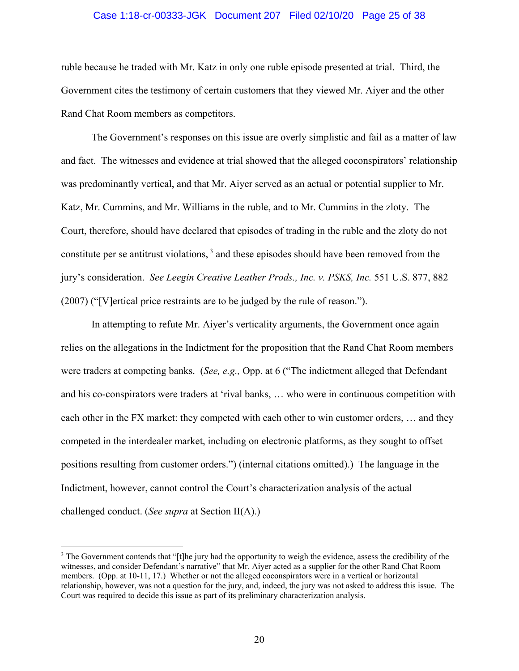### Case 1:18-cr-00333-JGK Document 207 Filed 02/10/20 Page 25 of 38

ruble because he traded with Mr. Katz in only one ruble episode presented at trial. Third, the Government cites the testimony of certain customers that they viewed Mr. Aiyer and the other Rand Chat Room members as competitors.

The Government's responses on this issue are overly simplistic and fail as a matter of law and fact. The witnesses and evidence at trial showed that the alleged coconspirators' relationship was predominantly vertical, and that Mr. Aiyer served as an actual or potential supplier to Mr. Katz, Mr. Cummins, and Mr. Williams in the ruble, and to Mr. Cummins in the zloty. The Court, therefore, should have declared that episodes of trading in the ruble and the zloty do not constitute per se antitrust violations,  $3$  and these episodes should have been removed from the jury's consideration. *See Leegin Creative Leather Prods., Inc. v. PSKS, Inc.* 551 U.S. 877, 882 (2007) ("[V]ertical price restraints are to be judged by the rule of reason.").

In attempting to refute Mr. Aiyer's verticality arguments, the Government once again relies on the allegations in the Indictment for the proposition that the Rand Chat Room members were traders at competing banks. (*See, e.g.,* Opp. at 6 ("The indictment alleged that Defendant and his co-conspirators were traders at 'rival banks, … who were in continuous competition with each other in the FX market: they competed with each other to win customer orders, … and they competed in the interdealer market, including on electronic platforms, as they sought to offset positions resulting from customer orders.") (internal citations omitted).) The language in the Indictment, however, cannot control the Court's characterization analysis of the actual challenged conduct. (*See supra* at Section II(A).)

 $\overline{a}$ 

<sup>&</sup>lt;sup>3</sup> The Government contends that "[t]he jury had the opportunity to weigh the evidence, assess the credibility of the witnesses, and consider Defendant's narrative" that Mr. Aiyer acted as a supplier for the other Rand Chat Room members. (Opp. at 10-11, 17.) Whether or not the alleged coconspirators were in a vertical or horizontal relationship, however, was not a question for the jury, and, indeed, the jury was not asked to address this issue. The Court was required to decide this issue as part of its preliminary characterization analysis.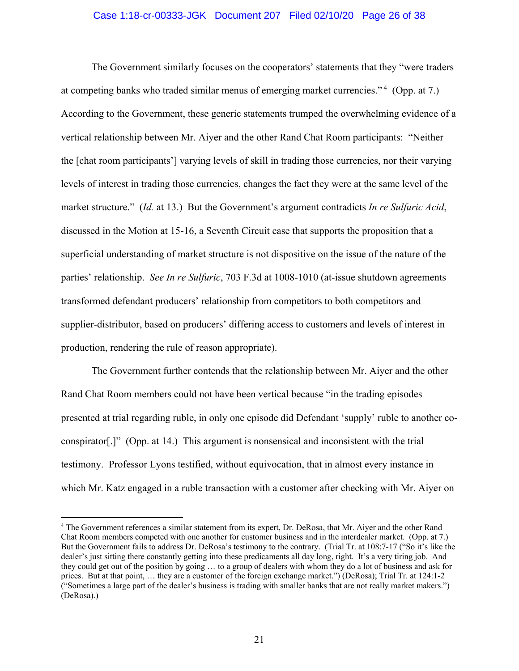### Case 1:18-cr-00333-JGK Document 207 Filed 02/10/20 Page 26 of 38

The Government similarly focuses on the cooperators' statements that they "were traders at competing banks who traded similar menus of emerging market currencies." 4 (Opp. at 7.) According to the Government, these generic statements trumped the overwhelming evidence of a vertical relationship between Mr. Aiyer and the other Rand Chat Room participants: "Neither the [chat room participants'] varying levels of skill in trading those currencies, nor their varying levels of interest in trading those currencies, changes the fact they were at the same level of the market structure." (*Id.* at 13.) But the Government's argument contradicts *In re Sulfuric Acid*, discussed in the Motion at 15-16, a Seventh Circuit case that supports the proposition that a superficial understanding of market structure is not dispositive on the issue of the nature of the parties' relationship. *See In re Sulfuric*, 703 F.3d at 1008-1010 (at-issue shutdown agreements transformed defendant producers' relationship from competitors to both competitors and supplier-distributor, based on producers' differing access to customers and levels of interest in production, rendering the rule of reason appropriate).

The Government further contends that the relationship between Mr. Aiyer and the other Rand Chat Room members could not have been vertical because "in the trading episodes presented at trial regarding ruble, in only one episode did Defendant 'supply' ruble to another coconspirator[.]" (Opp. at 14.) This argument is nonsensical and inconsistent with the trial testimony. Professor Lyons testified, without equivocation, that in almost every instance in which Mr. Katz engaged in a ruble transaction with a customer after checking with Mr. Aiyer on

 $\overline{a}$ 

<sup>4</sup> The Government references a similar statement from its expert, Dr. DeRosa, that Mr. Aiyer and the other Rand Chat Room members competed with one another for customer business and in the interdealer market. (Opp. at 7.) But the Government fails to address Dr. DeRosa's testimony to the contrary. (Trial Tr. at 108:7-17 ("So it's like the dealer's just sitting there constantly getting into these predicaments all day long, right. It's a very tiring job. And they could get out of the position by going … to a group of dealers with whom they do a lot of business and ask for prices. But at that point, … they are a customer of the foreign exchange market.") (DeRosa); Trial Tr. at 124:1-2 ("Sometimes a large part of the dealer's business is trading with smaller banks that are not really market makers.") (DeRosa).)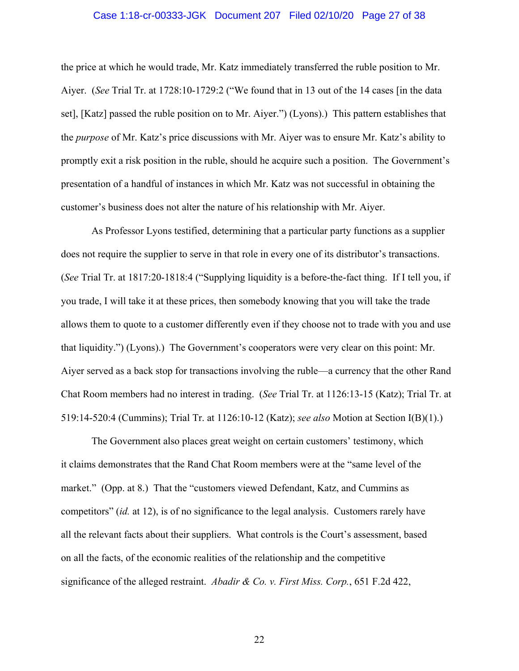### Case 1:18-cr-00333-JGK Document 207 Filed 02/10/20 Page 27 of 38

the price at which he would trade, Mr. Katz immediately transferred the ruble position to Mr. Aiyer. (*See* Trial Tr. at 1728:10-1729:2 ("We found that in 13 out of the 14 cases [in the data set], [Katz] passed the ruble position on to Mr. Aiyer.") (Lyons).) This pattern establishes that the *purpose* of Mr. Katz's price discussions with Mr. Aiyer was to ensure Mr. Katz's ability to promptly exit a risk position in the ruble, should he acquire such a position. The Government's presentation of a handful of instances in which Mr. Katz was not successful in obtaining the customer's business does not alter the nature of his relationship with Mr. Aiyer.

As Professor Lyons testified, determining that a particular party functions as a supplier does not require the supplier to serve in that role in every one of its distributor's transactions. (*See* Trial Tr. at 1817:20-1818:4 ("Supplying liquidity is a before-the-fact thing. If I tell you, if you trade, I will take it at these prices, then somebody knowing that you will take the trade allows them to quote to a customer differently even if they choose not to trade with you and use that liquidity.") (Lyons).) The Government's cooperators were very clear on this point: Mr. Aiyer served as a back stop for transactions involving the ruble—a currency that the other Rand Chat Room members had no interest in trading. (*See* Trial Tr. at 1126:13-15 (Katz); Trial Tr. at 519:14-520:4 (Cummins); Trial Tr. at 1126:10-12 (Katz); *see also* Motion at Section I(B)(1).)

The Government also places great weight on certain customers' testimony, which it claims demonstrates that the Rand Chat Room members were at the "same level of the market." (Opp. at 8.) That the "customers viewed Defendant, Katz, and Cummins as competitors" (*id.* at 12), is of no significance to the legal analysis. Customers rarely have all the relevant facts about their suppliers. What controls is the Court's assessment, based on all the facts, of the economic realities of the relationship and the competitive significance of the alleged restraint. *Abadir & Co. v. First Miss. Corp.*, 651 F.2d 422,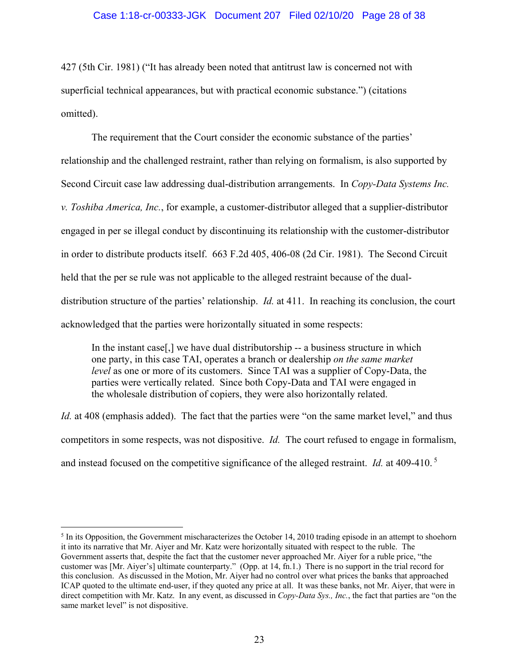427 (5th Cir. 1981) ("It has already been noted that antitrust law is concerned not with superficial technical appearances, but with practical economic substance.") (citations omitted).

The requirement that the Court consider the economic substance of the parties' relationship and the challenged restraint, rather than relying on formalism, is also supported by Second Circuit case law addressing dual-distribution arrangements. In *Copy-Data Systems Inc. v. Toshiba America, Inc.*, for example, a customer-distributor alleged that a supplier-distributor engaged in per se illegal conduct by discontinuing its relationship with the customer-distributor in order to distribute products itself. 663 F.2d 405, 406-08 (2d Cir. 1981). The Second Circuit held that the per se rule was not applicable to the alleged restraint because of the dualdistribution structure of the parties' relationship. *Id.* at 411. In reaching its conclusion, the court acknowledged that the parties were horizontally situated in some respects:

In the instant case[,] we have dual distributorship -- a business structure in which one party, in this case TAI, operates a branch or dealership *on the same market level* as one or more of its customers. Since TAI was a supplier of Copy-Data, the parties were vertically related. Since both Copy-Data and TAI were engaged in the wholesale distribution of copiers, they were also horizontally related.

*Id.* at 408 (emphasis added). The fact that the parties were "on the same market level," and thus competitors in some respects, was not dispositive. *Id.* The court refused to engage in formalism, and instead focused on the competitive significance of the alleged restraint. *Id.* at 409-410. 5

 $<sup>5</sup>$  In its Opposition, the Government mischaracterizes the October 14, 2010 trading episode in an attempt to shoehorn</sup> it into its narrative that Mr. Aiyer and Mr. Katz were horizontally situated with respect to the ruble. The Government asserts that, despite the fact that the customer never approached Mr. Aiyer for a ruble price, "the customer was [Mr. Aiyer's] ultimate counterparty." (Opp. at 14, fn.1.) There is no support in the trial record for this conclusion. As discussed in the Motion, Mr. Aiyer had no control over what prices the banks that approached ICAP quoted to the ultimate end-user, if they quoted any price at all. It was these banks, not Mr. Aiyer, that were in direct competition with Mr. Katz. In any event, as discussed in *Copy-Data Sys., Inc.*, the fact that parties are "on the same market level" is not dispositive.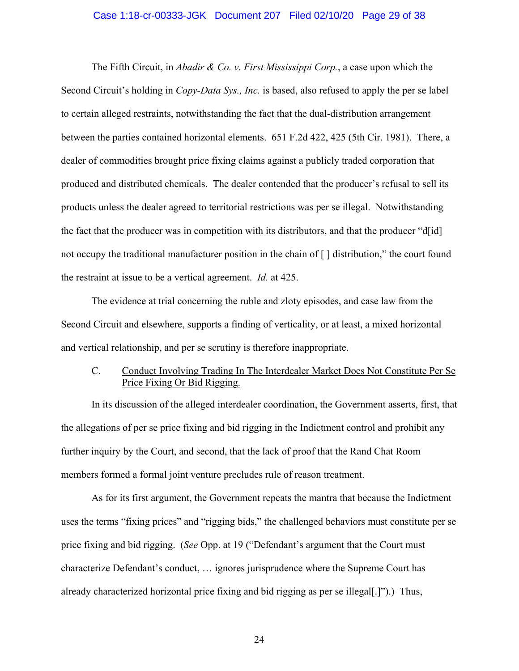### Case 1:18-cr-00333-JGK Document 207 Filed 02/10/20 Page 29 of 38

The Fifth Circuit, in *Abadir & Co. v. First Mississippi Corp.*, a case upon which the Second Circuit's holding in *Copy-Data Sys., Inc.* is based, also refused to apply the per se label to certain alleged restraints, notwithstanding the fact that the dual-distribution arrangement between the parties contained horizontal elements. 651 F.2d 422, 425 (5th Cir. 1981). There, a dealer of commodities brought price fixing claims against a publicly traded corporation that produced and distributed chemicals. The dealer contended that the producer's refusal to sell its products unless the dealer agreed to territorial restrictions was per se illegal. Notwithstanding the fact that the producer was in competition with its distributors, and that the producer "d[id] not occupy the traditional manufacturer position in the chain of [ ] distribution," the court found the restraint at issue to be a vertical agreement. *Id.* at 425.

The evidence at trial concerning the ruble and zloty episodes, and case law from the Second Circuit and elsewhere, supports a finding of verticality, or at least, a mixed horizontal and vertical relationship, and per se scrutiny is therefore inappropriate.

# C. Conduct Involving Trading In The Interdealer Market Does Not Constitute Per Se Price Fixing Or Bid Rigging.

In its discussion of the alleged interdealer coordination, the Government asserts, first, that the allegations of per se price fixing and bid rigging in the Indictment control and prohibit any further inquiry by the Court, and second, that the lack of proof that the Rand Chat Room members formed a formal joint venture precludes rule of reason treatment.

As for its first argument, the Government repeats the mantra that because the Indictment uses the terms "fixing prices" and "rigging bids," the challenged behaviors must constitute per se price fixing and bid rigging. (*See* Opp. at 19 ("Defendant's argument that the Court must characterize Defendant's conduct, … ignores jurisprudence where the Supreme Court has already characterized horizontal price fixing and bid rigging as per se illegal[.]").) Thus,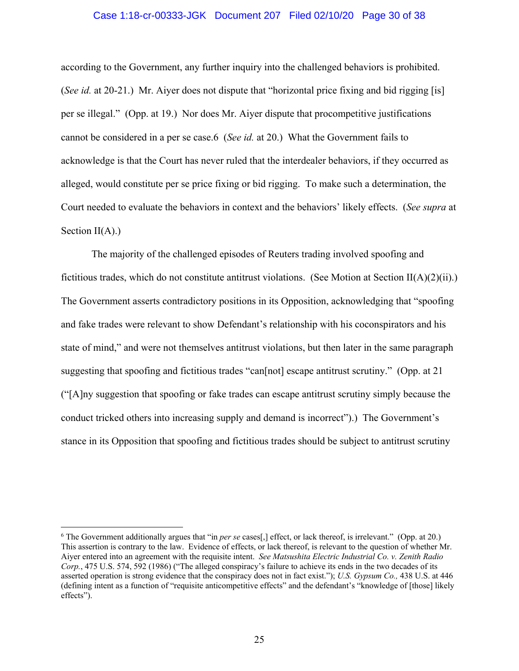### Case 1:18-cr-00333-JGK Document 207 Filed 02/10/20 Page 30 of 38

according to the Government, any further inquiry into the challenged behaviors is prohibited. (*See id.* at 20-21.) Mr. Aiyer does not dispute that "horizontal price fixing and bid rigging [is] per se illegal." (Opp. at 19.) Nor does Mr. Aiyer dispute that procompetitive justifications cannot be considered in a per se case.6 (*See id.* at 20.) What the Government fails to acknowledge is that the Court has never ruled that the interdealer behaviors, if they occurred as alleged, would constitute per se price fixing or bid rigging. To make such a determination, the Court needed to evaluate the behaviors in context and the behaviors' likely effects. (*See supra* at Section  $II(A)$ .)

The majority of the challenged episodes of Reuters trading involved spoofing and fictitious trades, which do not constitute antitrust violations. (See Motion at Section II(A)(2)(ii).) The Government asserts contradictory positions in its Opposition, acknowledging that "spoofing and fake trades were relevant to show Defendant's relationship with his coconspirators and his state of mind," and were not themselves antitrust violations, but then later in the same paragraph suggesting that spoofing and fictitious trades "can[not] escape antitrust scrutiny." (Opp. at 21 ("[A]ny suggestion that spoofing or fake trades can escape antitrust scrutiny simply because the conduct tricked others into increasing supply and demand is incorrect").) The Government's stance in its Opposition that spoofing and fictitious trades should be subject to antitrust scrutiny

 $\overline{a}$ 

<sup>6</sup> The Government additionally argues that "in *per se* cases[,] effect, or lack thereof, is irrelevant." (Opp. at 20.) This assertion is contrary to the law. Evidence of effects, or lack thereof, is relevant to the question of whether Mr. Aiyer entered into an agreement with the requisite intent. *See Matsushita Electric Industrial Co. v. Zenith Radio Corp.*, 475 U.S. 574, 592 (1986) ("The alleged conspiracy's failure to achieve its ends in the two decades of its asserted operation is strong evidence that the conspiracy does not in fact exist."); *U.S. Gypsum Co.,* 438 U.S. at 446 (defining intent as a function of "requisite anticompetitive effects" and the defendant's "knowledge of [those] likely effects").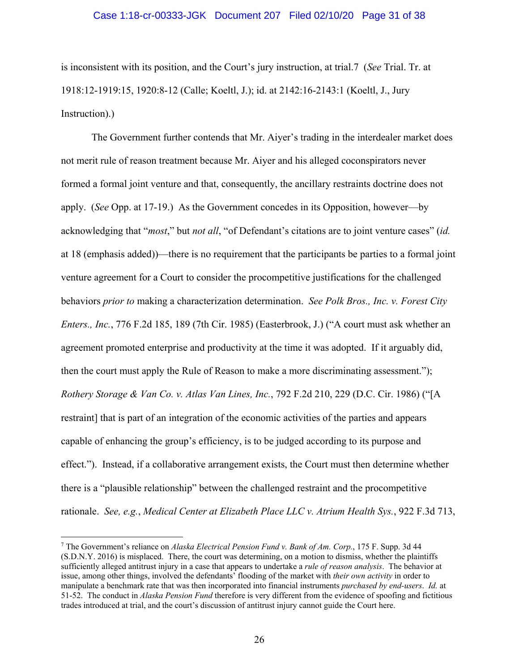### Case 1:18-cr-00333-JGK Document 207 Filed 02/10/20 Page 31 of 38

is inconsistent with its position, and the Court's jury instruction, at trial.7 (*See* Trial. Tr. at 1918:12-1919:15, 1920:8-12 (Calle; Koeltl, J.); id. at 2142:16-2143:1 (Koeltl, J., Jury Instruction).)

The Government further contends that Mr. Aiyer's trading in the interdealer market does not merit rule of reason treatment because Mr. Aiyer and his alleged coconspirators never formed a formal joint venture and that, consequently, the ancillary restraints doctrine does not apply. (*See* Opp. at 17-19.) As the Government concedes in its Opposition, however—by acknowledging that "*most*," but *not all*, "of Defendant's citations are to joint venture cases" (*id.* at 18 (emphasis added))—there is no requirement that the participants be parties to a formal joint venture agreement for a Court to consider the procompetitive justifications for the challenged behaviors *prior to* making a characterization determination. *See Polk Bros., Inc. v. Forest City Enters., Inc.*, 776 F.2d 185, 189 (7th Cir. 1985) (Easterbrook, J.) ("A court must ask whether an agreement promoted enterprise and productivity at the time it was adopted. If it arguably did, then the court must apply the Rule of Reason to make a more discriminating assessment."); *Rothery Storage & Van Co. v. Atlas Van Lines, Inc.*, 792 F.2d 210, 229 (D.C. Cir. 1986) ("[A restraint] that is part of an integration of the economic activities of the parties and appears capable of enhancing the group's efficiency, is to be judged according to its purpose and effect."). Instead, if a collaborative arrangement exists, the Court must then determine whether there is a "plausible relationship" between the challenged restraint and the procompetitive rationale. *See, e.g.*, *Medical Center at Elizabeth Place LLC v. Atrium Health Sys.*, 922 F.3d 713,

<u>.</u>

<sup>7</sup> The Government's reliance on *Alaska Electrical Pension Fund v. Bank of Am. Corp.*, 175 F. Supp. 3d 44 (S.D.N.Y. 2016) is misplaced. There, the court was determining, on a motion to dismiss, whether the plaintiffs sufficiently alleged antitrust injury in a case that appears to undertake a *rule of reason analysis*. The behavior at issue, among other things, involved the defendants' flooding of the market with *their own activity* in order to manipulate a benchmark rate that was then incorporated into financial instruments *purchased by end-users*. *Id.* at 51-52. The conduct in *Alaska Pension Fund* therefore is very different from the evidence of spoofing and fictitious trades introduced at trial, and the court's discussion of antitrust injury cannot guide the Court here.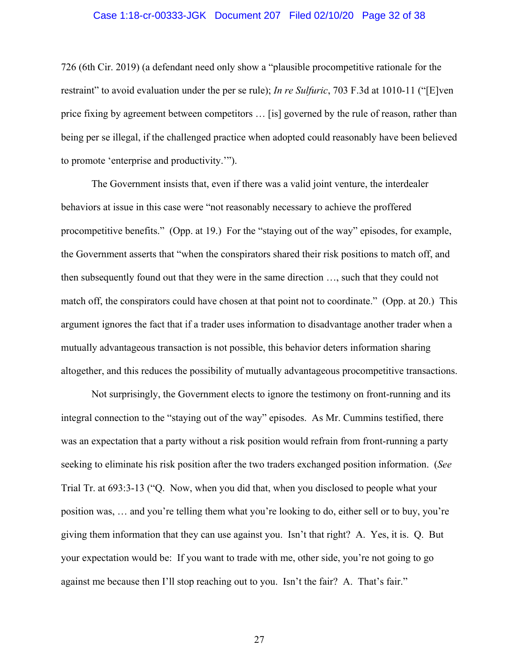### Case 1:18-cr-00333-JGK Document 207 Filed 02/10/20 Page 32 of 38

726 (6th Cir. 2019) (a defendant need only show a "plausible procompetitive rationale for the restraint" to avoid evaluation under the per se rule); *In re Sulfuric*, 703 F.3d at 1010-11 ("[E]ven price fixing by agreement between competitors … [is] governed by the rule of reason, rather than being per se illegal, if the challenged practice when adopted could reasonably have been believed to promote 'enterprise and productivity.'").

The Government insists that, even if there was a valid joint venture, the interdealer behaviors at issue in this case were "not reasonably necessary to achieve the proffered procompetitive benefits." (Opp. at 19.) For the "staying out of the way" episodes, for example, the Government asserts that "when the conspirators shared their risk positions to match off, and then subsequently found out that they were in the same direction …, such that they could not match off, the conspirators could have chosen at that point not to coordinate." (Opp. at 20.) This argument ignores the fact that if a trader uses information to disadvantage another trader when a mutually advantageous transaction is not possible, this behavior deters information sharing altogether, and this reduces the possibility of mutually advantageous procompetitive transactions.

Not surprisingly, the Government elects to ignore the testimony on front-running and its integral connection to the "staying out of the way" episodes. As Mr. Cummins testified, there was an expectation that a party without a risk position would refrain from front-running a party seeking to eliminate his risk position after the two traders exchanged position information. (*See* Trial Tr. at 693:3-13 ("Q. Now, when you did that, when you disclosed to people what your position was, … and you're telling them what you're looking to do, either sell or to buy, you're giving them information that they can use against you. Isn't that right? A. Yes, it is. Q. But your expectation would be: If you want to trade with me, other side, you're not going to go against me because then I'll stop reaching out to you. Isn't the fair? A. That's fair."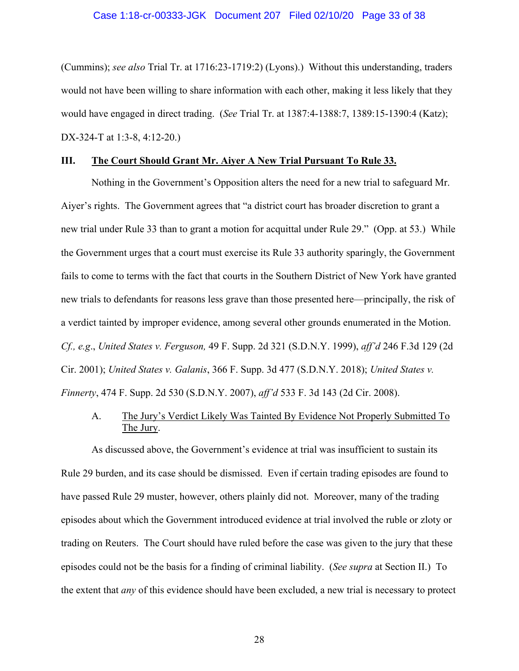### Case 1:18-cr-00333-JGK Document 207 Filed 02/10/20 Page 33 of 38

(Cummins); *see also* Trial Tr. at 1716:23-1719:2) (Lyons).) Without this understanding, traders would not have been willing to share information with each other, making it less likely that they would have engaged in direct trading. (*See* Trial Tr. at 1387:4-1388:7, 1389:15-1390:4 (Katz); DX-324-T at 1:3-8, 4:12-20.)

### **III. The Court Should Grant Mr. Aiyer A New Trial Pursuant To Rule 33.**

Nothing in the Government's Opposition alters the need for a new trial to safeguard Mr. Aiyer's rights. The Government agrees that "a district court has broader discretion to grant a new trial under Rule 33 than to grant a motion for acquittal under Rule 29." (Opp. at 53.) While the Government urges that a court must exercise its Rule 33 authority sparingly, the Government fails to come to terms with the fact that courts in the Southern District of New York have granted new trials to defendants for reasons less grave than those presented here—principally, the risk of a verdict tainted by improper evidence, among several other grounds enumerated in the Motion. *Cf., e.g*., *United States v. Ferguson,* 49 F. Supp. 2d 321 (S.D.N.Y. 1999), *aff'd* 246 F.3d 129 (2d Cir. 2001); *United States v. Galanis*, 366 F. Supp. 3d 477 (S.D.N.Y. 2018); *United States v. Finnerty*, 474 F. Supp. 2d 530 (S.D.N.Y. 2007), *aff'd* 533 F. 3d 143 (2d Cir. 2008).

# A. The Jury's Verdict Likely Was Tainted By Evidence Not Properly Submitted To The Jury.

As discussed above, the Government's evidence at trial was insufficient to sustain its Rule 29 burden, and its case should be dismissed. Even if certain trading episodes are found to have passed Rule 29 muster, however, others plainly did not. Moreover, many of the trading episodes about which the Government introduced evidence at trial involved the ruble or zloty or trading on Reuters. The Court should have ruled before the case was given to the jury that these episodes could not be the basis for a finding of criminal liability. (*See supra* at Section II.) To the extent that *any* of this evidence should have been excluded, a new trial is necessary to protect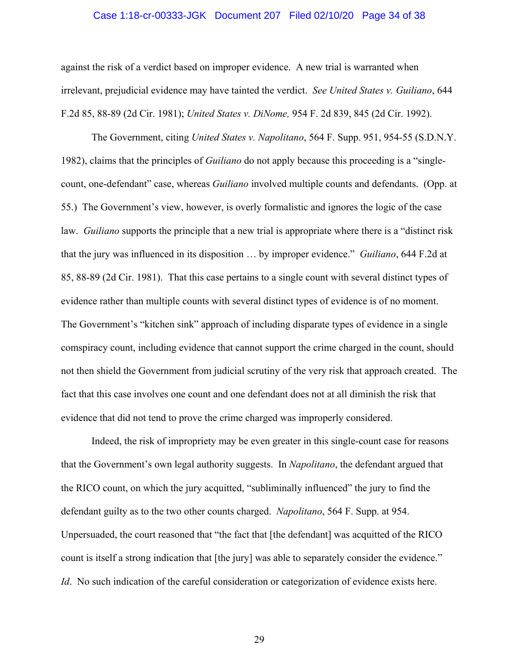### Case 1:18-cr-00333-JGK Document 207 Filed 02/10/20 Page 34 of 38

against the risk of a verdict based on improper evidence. A new trial is warranted when irrelevant, prejudicial evidence may have tainted the verdict. *See United States v. Guiliano*, 644 F.2d 85, 88-89 (2d Cir. 1981); *United States v. DiNome,* 954 F. 2d 839, 845 (2d Cir. 1992).

The Government, citing *United States v. Napolitano*, 564 F. Supp. 951, 954-55 (S.D.N.Y. 1982), claims that the principles of *Guiliano* do not apply because this proceeding is a "singlecount, one-defendant" case, whereas *Guiliano* involved multiple counts and defendants. (Opp. at 55.) The Government's view, however, is overly formalistic and ignores the logic of the case law. *Guiliano* supports the principle that a new trial is appropriate where there is a "distinct risk that the jury was influenced in its disposition … by improper evidence." *Guiliano*, 644 F.2d at 85, 88-89 (2d Cir. 1981). That this case pertains to a single count with several distinct types of evidence rather than multiple counts with several distinct types of evidence is of no moment. The Government's "kitchen sink" approach of including disparate types of evidence in a single comspiracy count, including evidence that cannot support the crime charged in the count, should not then shield the Government from judicial scrutiny of the very risk that approach created. The fact that this case involves one count and one defendant does not at all diminish the risk that evidence that did not tend to prove the crime charged was improperly considered.

Indeed, the risk of impropriety may be even greater in this single-count case for reasons that the Government's own legal authority suggests. In *Napolitano*, the defendant argued that the RICO count, on which the jury acquitted, "subliminally influenced" the jury to find the defendant guilty as to the two other counts charged. *Napolitano*, 564 F. Supp. at 954. Unpersuaded, the court reasoned that "the fact that [the defendant] was acquitted of the RICO count is itself a strong indication that [the jury] was able to separately consider the evidence." *Id.* No such indication of the careful consideration or categorization of evidence exists here.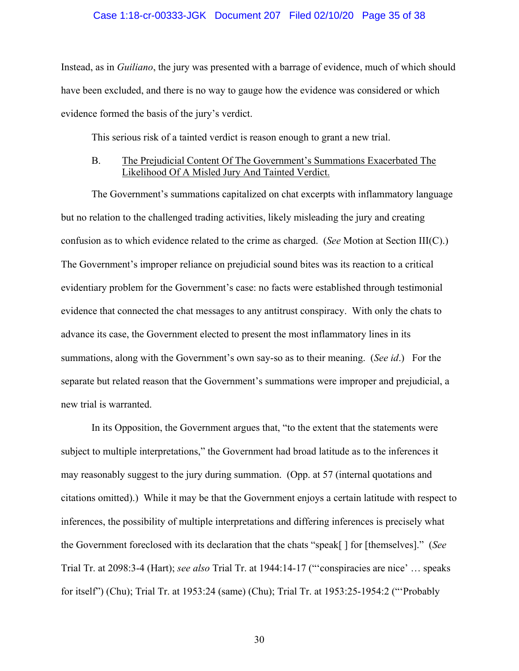#### Case 1:18-cr-00333-JGK Document 207 Filed 02/10/20 Page 35 of 38

Instead, as in *Guiliano*, the jury was presented with a barrage of evidence, much of which should have been excluded, and there is no way to gauge how the evidence was considered or which evidence formed the basis of the jury's verdict.

This serious risk of a tainted verdict is reason enough to grant a new trial.

### B. The Prejudicial Content Of The Government's Summations Exacerbated The Likelihood Of A Misled Jury And Tainted Verdict.

The Government's summations capitalized on chat excerpts with inflammatory language but no relation to the challenged trading activities, likely misleading the jury and creating confusion as to which evidence related to the crime as charged. (*See* Motion at Section III(C).) The Government's improper reliance on prejudicial sound bites was its reaction to a critical evidentiary problem for the Government's case: no facts were established through testimonial evidence that connected the chat messages to any antitrust conspiracy. With only the chats to advance its case, the Government elected to present the most inflammatory lines in its summations, along with the Government's own say-so as to their meaning. (*See id*.) For the separate but related reason that the Government's summations were improper and prejudicial, a new trial is warranted.

In its Opposition, the Government argues that, "to the extent that the statements were subject to multiple interpretations," the Government had broad latitude as to the inferences it may reasonably suggest to the jury during summation. (Opp. at 57 (internal quotations and citations omitted).) While it may be that the Government enjoys a certain latitude with respect to inferences, the possibility of multiple interpretations and differing inferences is precisely what the Government foreclosed with its declaration that the chats "speak[ ] for [themselves]." (*See*  Trial Tr. at 2098:3-4 (Hart); *see also* Trial Tr. at 1944:14-17 ("'conspiracies are nice' … speaks for itself") (Chu); Trial Tr. at 1953:24 (same) (Chu); Trial Tr. at 1953:25-1954:2 ("'Probably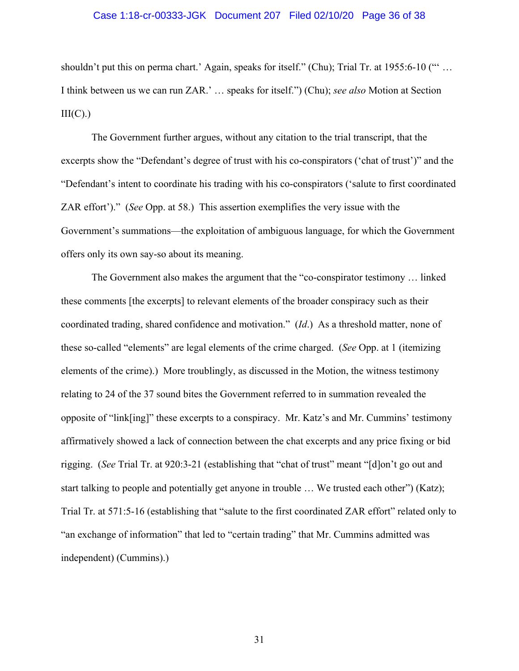### Case 1:18-cr-00333-JGK Document 207 Filed 02/10/20 Page 36 of 38

shouldn't put this on perma chart.' Again, speaks for itself." (Chu); Trial Tr. at 1955:6-10 ("" ... I think between us we can run ZAR.' … speaks for itself.") (Chu); *see also* Motion at Section  $III(C).$ 

The Government further argues, without any citation to the trial transcript, that the excerpts show the "Defendant's degree of trust with his co-conspirators ('chat of trust')" and the "Defendant's intent to coordinate his trading with his co-conspirators ('salute to first coordinated ZAR effort')." (*See* Opp. at 58.) This assertion exemplifies the very issue with the Government's summations—the exploitation of ambiguous language, for which the Government offers only its own say-so about its meaning.

The Government also makes the argument that the "co-conspirator testimony … linked these comments [the excerpts] to relevant elements of the broader conspiracy such as their coordinated trading, shared confidence and motivation." (*Id*.) As a threshold matter, none of these so-called "elements" are legal elements of the crime charged. (*See* Opp. at 1 (itemizing elements of the crime).) More troublingly, as discussed in the Motion, the witness testimony relating to 24 of the 37 sound bites the Government referred to in summation revealed the opposite of "link[ing]" these excerpts to a conspiracy. Mr. Katz's and Mr. Cummins' testimony affirmatively showed a lack of connection between the chat excerpts and any price fixing or bid rigging. (*See* Trial Tr. at 920:3-21 (establishing that "chat of trust" meant "[d]on't go out and start talking to people and potentially get anyone in trouble … We trusted each other") (Katz); Trial Tr. at 571:5-16 (establishing that "salute to the first coordinated ZAR effort" related only to "an exchange of information" that led to "certain trading" that Mr. Cummins admitted was independent) (Cummins).)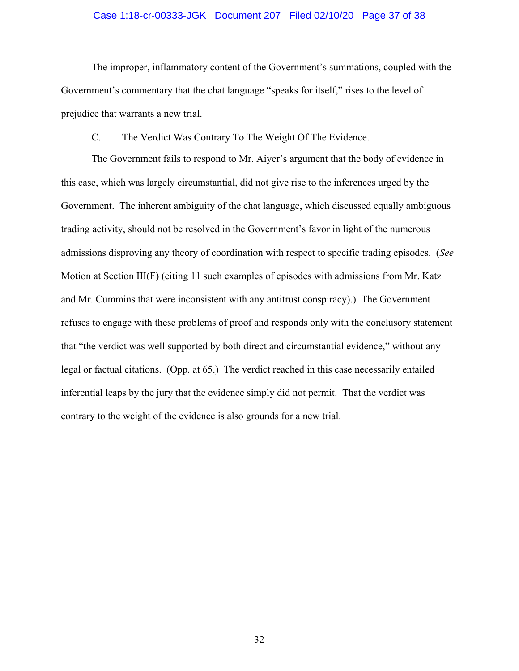### Case 1:18-cr-00333-JGK Document 207 Filed 02/10/20 Page 37 of 38

The improper, inflammatory content of the Government's summations, coupled with the Government's commentary that the chat language "speaks for itself," rises to the level of prejudice that warrants a new trial.

### C. The Verdict Was Contrary To The Weight Of The Evidence.

The Government fails to respond to Mr. Aiyer's argument that the body of evidence in this case, which was largely circumstantial, did not give rise to the inferences urged by the Government. The inherent ambiguity of the chat language, which discussed equally ambiguous trading activity, should not be resolved in the Government's favor in light of the numerous admissions disproving any theory of coordination with respect to specific trading episodes. (*See* Motion at Section III(F) (citing 11 such examples of episodes with admissions from Mr. Katz and Mr. Cummins that were inconsistent with any antitrust conspiracy).) The Government refuses to engage with these problems of proof and responds only with the conclusory statement that "the verdict was well supported by both direct and circumstantial evidence," without any legal or factual citations. (Opp. at 65.) The verdict reached in this case necessarily entailed inferential leaps by the jury that the evidence simply did not permit. That the verdict was contrary to the weight of the evidence is also grounds for a new trial.